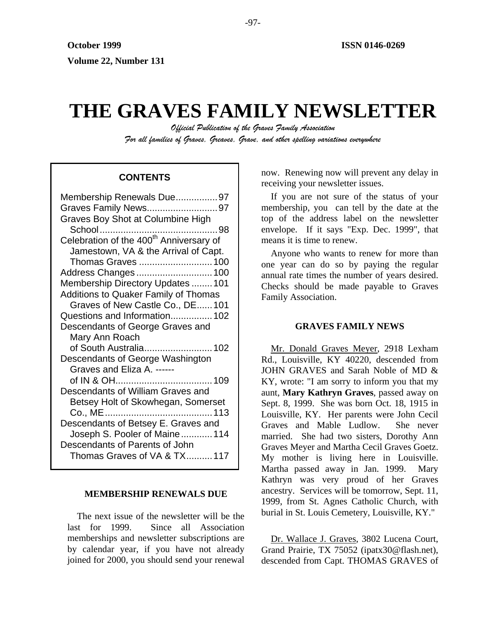# **THE GRAVES FAMILY NEWSLETTER**

*Official Publication of the Graves Family Association For all families of Graves, Greaves, Grave, and other spelling variations everywhere* 

| Membership Renewals Due97                           |
|-----------------------------------------------------|
| Graves Family News97                                |
| <b>Graves Boy Shot at Columbine High</b>            |
|                                                     |
| Celebration of the 400 <sup>th</sup> Anniversary of |
| Jamestown, VA & the Arrival of Capt.                |
| Thomas Graves 100                                   |
| Address Changes 100                                 |
| Membership Directory Updates  101                   |
| <b>Additions to Quaker Family of Thomas</b>         |
| Graves of New Castle Co., DE 101                    |
| Questions and Information 102                       |
| Descendants of George Graves and                    |
| Mary Ann Roach                                      |
| of South Australia 102                              |
| Descendants of George Washington                    |
| Graves and Eliza A. ------                          |
|                                                     |
| Descendants of William Graves and                   |
| Betsey Holt of Skowhegan, Somerset                  |
|                                                     |
| Descendants of Betsey E. Graves and                 |
| Joseph S. Pooler of Maine 114                       |
| Descendants of Parents of John                      |
| Thomas Graves of VA & TX117                         |
|                                                     |

# **MEMBERSHIP RENEWALS DUE**

The next issue of the newsletter will be the last for 1999. Since all Association memberships and newsletter subscriptions are by calendar year, if you have not already joined for 2000, you should send your renewal

now. Renewing now will prevent any delay in **CONTENTS** The now. Kellewing now will prever

> If you are not sure of the status of your membership, you can tell by the date at the top of the address label on the newsletter envelope. If it says "Exp. Dec. 1999", that means it is time to renew.

> Anyone who wants to renew for more than one year can do so by paying the regular annual rate times the number of years desired. Checks should be made payable to Graves Family Association.

# **GRAVES FAMILY NEWS**

Mr. Donald Graves Meyer, 2918 Lexham Rd., Louisville, KY 40220, descended from JOHN GRAVES and Sarah Noble of MD & KY, wrote: "I am sorry to inform you that my aunt, **Mary Kathryn Graves**, passed away on Sept. 8, 1999. She was born Oct. 18, 1915 in Louisville, KY. Her parents were John Cecil Graves and Mable Ludlow. She never married. She had two sisters, Dorothy Ann Graves Meyer and Martha Cecil Graves Goetz. My mother is living here in Louisville. Martha passed away in Jan. 1999. Mary Kathryn was very proud of her Graves ancestry. Services will be tomorrow, Sept. 11, 1999, from St. Agnes Catholic Church, with burial in St. Louis Cemetery, Louisville, KY."

Dr. Wallace J. Graves, 3802 Lucena Court, Grand Prairie, TX 75052 (ipatx30@flash.net), descended from Capt. THOMAS GRAVES of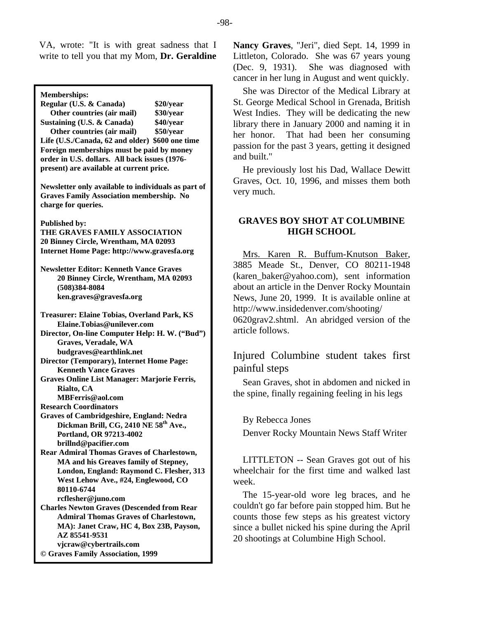VA, wrote: "It is with great sadness that I write to tell you that my Mom, **Dr. Geraldine** 

**Memberships: Regular (U.S. & Canada) \$20/year Other countries (air mail) \$30/year Sustaining (U.S. & Canada) \$40/year Other countries (air mail) \$50/year Life (U.S./Canada, 62 and older) \$600 one time Foreign memberships must be paid by money order in U.S. dollars. All back issues (1976 present) are available at current price. Newsletter only available to individuals as part of Graves Family Association membership. No charge for queries. Published by: THE GRAVES FAMILY ASSOCIATION 20 Binney Circle, Wrentham, MA 02093 Internet Home Page: http://www.gravesfa.org Newsletter Editor: Kenneth Vance Graves 20 Binney Circle, Wrentham, MA 02093 (508)384-8084 ken.graves@gravesfa.org Treasurer: Elaine Tobias, Overland Park, KS Elaine.Tobias@unilever.com Director, On-line Computer Help: H. W. ("Bud") Graves, Veradale, WA budgraves@earthlink.net Director (Temporary), Internet Home Page: Kenneth Vance Graves Graves Online List Manager: Marjorie Ferris, Rialto, CA MBFerris@aol.com Research Coordinators Graves of Cambridgeshire, England: Nedra Dickman Brill, CG, 2410 NE 58th Ave., Portland, OR 97213-4002 brillnd@pacifier.com Rear Admiral Thomas Graves of Charlestown, MA and his Greaves family of Stepney, London, England: Raymond C. Flesher, 313 West Lehow Ave., #24, Englewood, CO 80110-6744 rcflesher@juno.com Charles Newton Graves (Descended from Rear Admiral Thomas Graves of Charlestown, MA): Janet Craw, HC 4, Box 23B, Payson, AZ 85541-9531 vjcraw@cybertrails.com © Graves Family Association, 1999**

**Nancy Graves**, "Jeri", died Sept. 14, 1999 in Littleton, Colorado. She was 67 years young (Dec. 9, 1931). She was diagnosed with cancer in her lung in August and went quickly.

She was Director of the Medical Library at St. George Medical School in Grenada, British West Indies. They will be dedicating the new library there in January 2000 and naming it in her honor. That had been her consuming passion for the past 3 years, getting it designed and built."

He previously lost his Dad, Wallace Dewitt Graves, Oct. 10, 1996, and misses them both very much.

# **GRAVES BOY SHOT AT COLUMBINE HIGH SCHOOL**

Mrs. Karen R. Buffum-Knutson Baker, 3885 Meade St., Denver, CO 80211-1948 (karen\_baker@yahoo.com), sent information about an article in the Denver Rocky Mountain News, June 20, 1999. It is available online at http://www.insidedenver.com/shooting/ 0620grav2.shtml. An abridged version of the article follows.

Injured Columbine student takes first painful steps

Sean Graves, shot in abdomen and nicked in the spine, finally regaining feeling in his legs

By Rebecca Jones

Denver Rocky Mountain News Staff Writer

LITTLETON -- Sean Graves got out of his wheelchair for the first time and walked last week.

The 15-year-old wore leg braces, and he couldn't go far before pain stopped him. But he counts those few steps as his greatest victory since a bullet nicked his spine during the April 20 shootings at Columbine High School.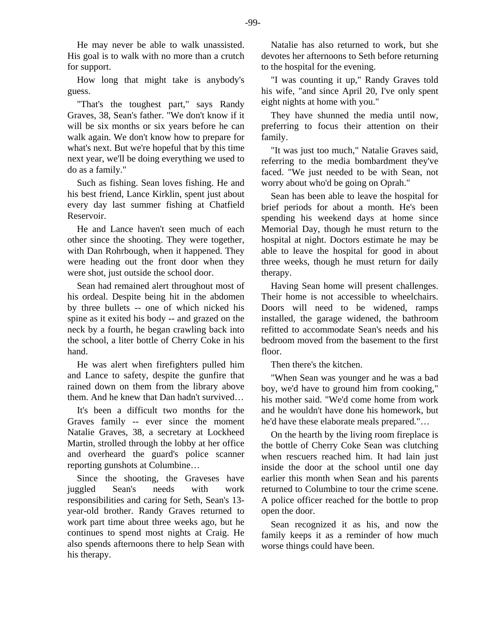He may never be able to walk unassisted. His goal is to walk with no more than a crutch for support.

How long that might take is anybody's guess.

"That's the toughest part," says Randy Graves, 38, Sean's father. "We don't know if it will be six months or six years before he can walk again. We don't know how to prepare for what's next. But we're hopeful that by this time next year, we'll be doing everything we used to do as a family."

Such as fishing. Sean loves fishing. He and his best friend, Lance Kirklin, spent just about every day last summer fishing at Chatfield Reservoir.

He and Lance haven't seen much of each other since the shooting. They were together, with Dan Rohrbough, when it happened. They were heading out the front door when they were shot, just outside the school door.

Sean had remained alert throughout most of his ordeal. Despite being hit in the abdomen by three bullets -- one of which nicked his spine as it exited his body -- and grazed on the neck by a fourth, he began crawling back into the school, a liter bottle of Cherry Coke in his hand.

He was alert when firefighters pulled him and Lance to safety, despite the gunfire that rained down on them from the library above them. And he knew that Dan hadn't survived…

It's been a difficult two months for the Graves family -- ever since the moment Natalie Graves, 38, a secretary at Lockheed Martin, strolled through the lobby at her office and overheard the guard's police scanner reporting gunshots at Columbine…

Since the shooting, the Graveses have juggled Sean's needs with work responsibilities and caring for Seth, Sean's 13 year-old brother. Randy Graves returned to work part time about three weeks ago, but he continues to spend most nights at Craig. He also spends afternoons there to help Sean with his therapy.

Natalie has also returned to work, but she devotes her afternoons to Seth before returning to the hospital for the evening.

"I was counting it up," Randy Graves told his wife, "and since April 20, I've only spent eight nights at home with you."

They have shunned the media until now, preferring to focus their attention on their family.

"It was just too much," Natalie Graves said, referring to the media bombardment they've faced. "We just needed to be with Sean, not worry about who'd be going on Oprah."

Sean has been able to leave the hospital for brief periods for about a month. He's been spending his weekend days at home since Memorial Day, though he must return to the hospital at night. Doctors estimate he may be able to leave the hospital for good in about three weeks, though he must return for daily therapy.

Having Sean home will present challenges. Their home is not accessible to wheelchairs. Doors will need to be widened, ramps installed, the garage widened, the bathroom refitted to accommodate Sean's needs and his bedroom moved from the basement to the first floor.

Then there's the kitchen.

"When Sean was younger and he was a bad boy, we'd have to ground him from cooking," his mother said. "We'd come home from work and he wouldn't have done his homework, but he'd have these elaborate meals prepared."…

On the hearth by the living room fireplace is the bottle of Cherry Coke Sean was clutching when rescuers reached him. It had lain just inside the door at the school until one day earlier this month when Sean and his parents returned to Columbine to tour the crime scene. A police officer reached for the bottle to prop open the door.

Sean recognized it as his, and now the family keeps it as a reminder of how much worse things could have been.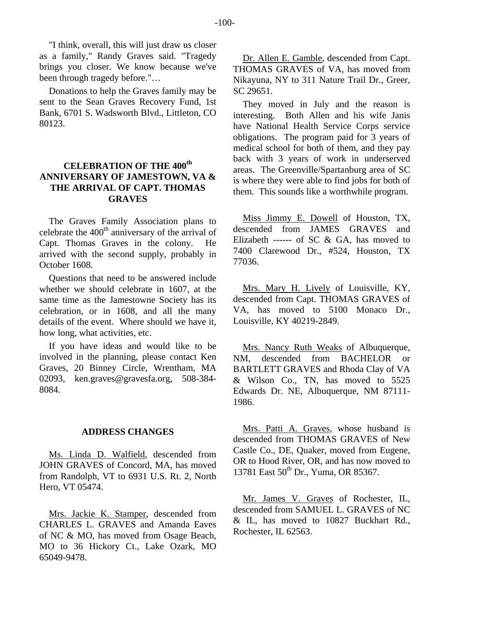"I think, overall, this will just draw us closer as a family," Randy Graves said. "Tragedy brings you closer. We know because we've been through tragedy before."…

Donations to help the Graves family may be sent to the Sean Graves Recovery Fund, 1st Bank, 6701 S. Wadsworth Blvd., Littleton, CO 80123.

# **CELEBRATION OF THE 400th ANNIVERSARY OF JAMESTOWN, VA & THE ARRIVAL OF CAPT. THOMAS GRAVES**

The Graves Family Association plans to celebrate the  $400<sup>th</sup>$  anniversary of the arrival of Capt. Thomas Graves in the colony. He arrived with the second supply, probably in October 1608.

Questions that need to be answered include whether we should celebrate in 1607, at the same time as the Jamestowne Society has its celebration, or in 1608, and all the many details of the event. Where should we have it, how long, what activities, etc.

If you have ideas and would like to be involved in the planning, please contact Ken Graves, 20 Binney Circle, Wrentham, MA 02093, ken.graves@gravesfa.org, 508-384- 8084.

#### **ADDRESS CHANGES**

Ms. Linda D. Walfield, descended from JOHN GRAVES of Concord, MA, has moved from Randolph, VT to 6931 U.S. Rt. 2, North Hero, VT 05474.

Mrs. Jackie K. Stamper, descended from CHARLES L. GRAVES and Amanda Eaves of NC & MO, has moved from Osage Beach, MO to 36 Hickory Ct., Lake Ozark, MO 65049-9478.

Dr. Allen E. Gamble, descended from Capt. THOMAS GRAVES of VA, has moved from Nikayuna, NY to 311 Nature Trail Dr., Greer, SC 29651.

They moved in July and the reason is interesting. Both Allen and his wife Janis have National Health Service Corps service obligations. The program paid for 3 years of medical school for both of them, and they pay back with 3 years of work in underserved areas. The Greenville/Spartanburg area of SC is where they were able to find jobs for both of them. This sounds like a worthwhile program.

Miss Jimmy E. Dowell of Houston, TX, descended from JAMES GRAVES and Elizabeth ------ of SC & GA, has moved to 7400 Clarewood Dr., #524, Houston, TX 77036.

Mrs. Mary H. Lively of Louisville, KY, descended from Capt. THOMAS GRAVES of VA, has moved to 5100 Monaco Dr., Louisville, KY 40219-2849.

Mrs. Nancy Ruth Weaks of Albuquerque, NM, descended from BACHELOR or BARTLETT GRAVES and Rhoda Clay of VA & Wilson Co., TN, has moved to 5525 Edwards Dr. NE, Albuquerque, NM 87111- 1986.

Mrs. Patti A. Graves, whose husband is descended from THOMAS GRAVES of New Castle Co., DE, Quaker, moved from Eugene, OR to Hood River, OR, and has now moved to 13781 East 50<sup>th</sup> Dr., Yuma, OR 85367.

Mr. James V. Graves of Rochester, IL, descended from SAMUEL L. GRAVES of NC & IL, has moved to 10827 Buckhart Rd., Rochester, IL 62563.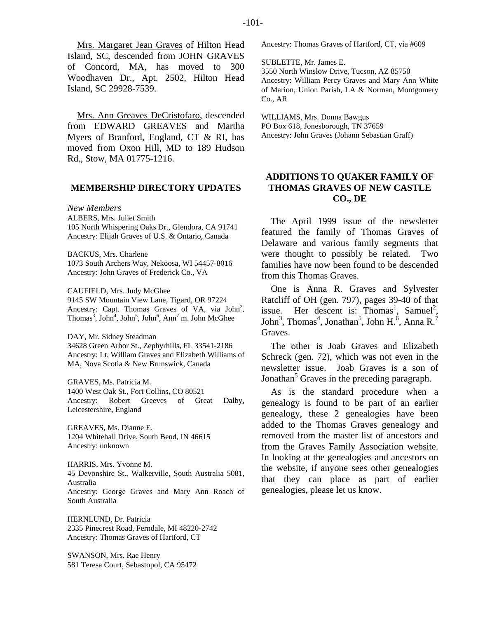Island, SC, descended from JOHN GRAVES of Concord, MA, has moved to 300 Woodhaven Dr., Apt. 2502, Hilton Head Island, SC 29928-7539.

Mrs. Ann Greaves DeCristofaro, descended from EDWARD GREAVES and Martha Myers of Branford, England, CT & RI, has moved from Oxon Hill, MD to 189 Hudson Rd., Stow, MA 01775-1216.

# **MEMBERSHIP DIRECTORY UPDATES**

*New Members*  ALBERS, Mrs. Juliet Smith 105 North Whispering Oaks Dr., Glendora, CA 91741 Ancestry: Elijah Graves of U.S. & Ontario, Canada

BACKUS, Mrs. Charlene 1073 South Archers Way, Nekoosa, WI 54457-8016 Ancestry: John Graves of Frederick Co., VA

CAUFIELD, Mrs. Judy McGhee

9145 SW Mountain View Lane, Tigard, OR 97224 Ancestry: Capt. Thomas Graves of VA, via  $John<sup>2</sup>$ , Thomas<sup>3</sup>, John<sup>4</sup>, John<sup>5</sup>, John<sup>6</sup>, Ann<sup>7</sup> m. John McGhee

DAY, Mr. Sidney Steadman 34628 Green Arbor St., Zephyrhills, FL 33541-2186 Ancestry: Lt. William Graves and Elizabeth Williams of MA, Nova Scotia & New Brunswick, Canada

GRAVES, Ms. Patricia M. 1400 West Oak St., Fort Collins, CO 80521 Ancestry: Robert Greeves of Great Dalby, Leicestershire, England

GREAVES, Ms. Dianne E. 1204 Whitehall Drive, South Bend, IN 46615 Ancestry: unknown

HARRIS, Mrs. Yvonne M. 45 Devonshire St., Walkerville, South Australia 5081, Australia Ancestry: George Graves and Mary Ann Roach of South Australia

HERNLUND, Dr. Patricia 2335 Pinecrest Road, Ferndale, MI 48220-2742 Ancestry: Thomas Graves of Hartford, CT

SWANSON, Mrs. Rae Henry 581 Teresa Court, Sebastopol, CA 95472 Ancestry: Thomas Graves of Hartford, CT, via #609

SUBLETTE, Mr. James E. 3550 North Winslow Drive, Tucson, AZ 85750 Ancestry: William Percy Graves and Mary Ann White of Marion, Union Parish, LA & Norman, Montgomery Co., AR

WILLIAMS, Mrs. Donna Bawgus PO Box 618, Jonesborough, TN 37659 Ancestry: John Graves (Johann Sebastian Graff)

# **ADDITIONS TO QUAKER FAMILY OF THOMAS GRAVES OF NEW CASTLE CO., DE**

The April 1999 issue of the newsletter featured the family of Thomas Graves of Delaware and various family segments that were thought to possibly be related. Two families have now been found to be descended from this Thomas Graves.

One is Anna R. Graves and Sylvester Ratcliff of OH (gen. 797), pages 39-40 of that issue. Her descent is:  $Thomas<sup>1</sup>$ , Samuel<sup>2</sup>, John<sup>3</sup>, Thomas<sup>4</sup>, Jonathan<sup>5</sup>, John H.<sup>6</sup>, Anna R.<sup>7</sup> Graves.

The other is Joab Graves and Elizabeth Schreck (gen. 72), which was not even in the newsletter issue. Joab Graves is a son of Jonathan<sup>5</sup> Graves in the preceding paragraph.

As is the standard procedure when a genealogy is found to be part of an earlier genealogy, these 2 genealogies have been added to the Thomas Graves genealogy and removed from the master list of ancestors and from the Graves Family Association website. In looking at the genealogies and ancestors on the website, if anyone sees other genealogies that they can place as part of earlier genealogies, please let us know.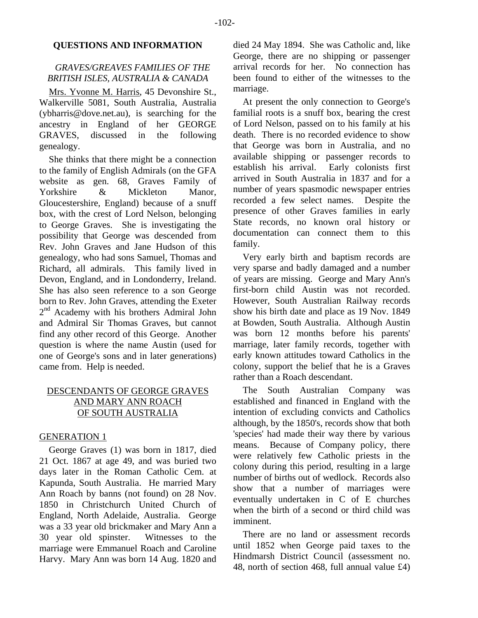# **QUESTIONS AND INFORMATION**

# *GRAVES/GREAVES FAMILIES OF THE BRITISH ISLES, AUSTRALIA & CANADA*

Mrs. Yvonne M. Harris, 45 Devonshire St., Walkerville 5081, South Australia, Australia (ybharris@dove.net.au), is searching for the ancestry in England of her GEORGE GRAVES, discussed in the following genealogy.

She thinks that there might be a connection to the family of English Admirals (on the GFA website as gen. 68, Graves Family of Yorkshire & Mickleton Manor, Gloucestershire, England) because of a snuff box, with the crest of Lord Nelson, belonging to George Graves. She is investigating the possibility that George was descended from Rev. John Graves and Jane Hudson of this genealogy, who had sons Samuel, Thomas and Richard, all admirals. This family lived in Devon, England, and in Londonderry, Ireland. She has also seen reference to a son George born to Rev. John Graves, attending the Exeter 2<sup>nd</sup> Academy with his brothers Admiral John and Admiral Sir Thomas Graves, but cannot find any other record of this George. Another question is where the name Austin (used for one of George's sons and in later generations) came from. Help is needed.

# DESCENDANTS OF GEORGE GRAVES AND MARY ANN ROACH OF SOUTH AUSTRALIA

# GENERATION 1

George Graves (1) was born in 1817, died 21 Oct. 1867 at age 49, and was buried two days later in the Roman Catholic Cem. at Kapunda, South Australia. He married Mary Ann Roach by banns (not found) on 28 Nov. 1850 in Christchurch United Church of England, North Adelaide, Australia. George was a 33 year old brickmaker and Mary Ann a 30 year old spinster. Witnesses to the marriage were Emmanuel Roach and Caroline Harvy. Mary Ann was born 14 Aug. 1820 and died 24 May 1894. She was Catholic and, like George, there are no shipping or passenger arrival records for her. No connection has been found to either of the witnesses to the marriage.

At present the only connection to George's familial roots is a snuff box, bearing the crest of Lord Nelson, passed on to his family at his death. There is no recorded evidence to show that George was born in Australia, and no available shipping or passenger records to<br>establish his arrival. Early colonists first Early colonists first arrived in South Australia in 1837 and for a number of years spasmodic newspaper entries recorded a few select names. Despite the presence of other Graves families in early State records, no known oral history or documentation can connect them to this family.

Very early birth and baptism records are very sparse and badly damaged and a number of years are missing. George and Mary Ann's first-born child Austin was not recorded. However, South Australian Railway records show his birth date and place as 19 Nov. 1849 at Bowden, South Australia. Although Austin was born 12 months before his parents' marriage, later family records, together with early known attitudes toward Catholics in the colony, support the belief that he is a Graves rather than a Roach descendant.

The South Australian Company was established and financed in England with the intention of excluding convicts and Catholics although, by the 1850's, records show that both 'species' had made their way there by various means. Because of Company policy, there were relatively few Catholic priests in the colony during this period, resulting in a large number of births out of wedlock. Records also show that a number of marriages were eventually undertaken in C of E churches when the birth of a second or third child was imminent.

There are no land or assessment records until 1852 when George paid taxes to the Hindmarsh District Council (assessment no. 48, north of section 468, full annual value £4)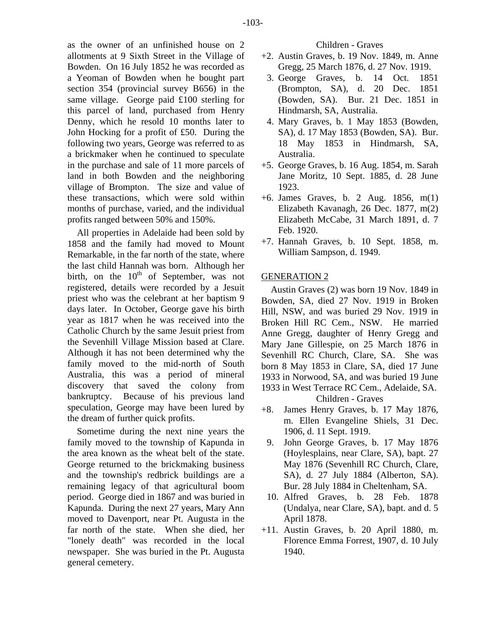as the owner of an unfinished house on 2 allotments at 9 Sixth Street in the Village of Bowden. On 16 July 1852 he was recorded as a Yeoman of Bowden when he bought part section 354 (provincial survey B656) in the same village. George paid £100 sterling for this parcel of land, purchased from Henry Denny, which he resold 10 months later to John Hocking for a profit of £50. During the following two years, George was referred to as a brickmaker when he continued to speculate in the purchase and sale of 11 more parcels of land in both Bowden and the neighboring village of Brompton. The size and value of these transactions, which were sold within months of purchase, varied, and the individual profits ranged between 50% and 150%.

All properties in Adelaide had been sold by 1858 and the family had moved to Mount Remarkable, in the far north of the state, where the last child Hannah was born. Although her birth, on the  $10<sup>th</sup>$  of September, was not registered, details were recorded by a Jesuit priest who was the celebrant at her baptism 9 days later. In October, George gave his birth year as 1817 when he was received into the Catholic Church by the same Jesuit priest from the Sevenhill Village Mission based at Clare. Although it has not been determined why the family moved to the mid-north of South Australia, this was a period of mineral discovery that saved the colony from bankruptcy. Because of his previous land speculation, George may have been lured by the dream of further quick profits.

Sometime during the next nine years the family moved to the township of Kapunda in the area known as the wheat belt of the state. George returned to the brickmaking business and the township's redbrick buildings are a remaining legacy of that agricultural boom period. George died in 1867 and was buried in Kapunda. During the next 27 years, Mary Ann moved to Davenport, near Pt. Augusta in the far north of the state. When she died, her "lonely death" was recorded in the local newspaper. She was buried in the Pt. Augusta general cemetery.

- +2. Austin Graves, b. 19 Nov. 1849, m. Anne Gregg, 25 March 1876, d. 27 Nov. 1919.
- 3. George Graves, b. 14 Oct. 1851 (Brompton, SA), d. 20 Dec. 1851 (Bowden, SA). Bur. 21 Dec. 1851 in Hindmarsh, SA, Australia.
- 4. Mary Graves, b. 1 May 1853 (Bowden, SA), d. 17 May 1853 (Bowden, SA). Bur. 18 May 1853 in Hindmarsh, SA, Australia.
- +5. George Graves, b. 16 Aug. 1854, m. Sarah Jane Moritz, 10 Sept. 1885, d. 28 June 1923.
- +6. James Graves, b. 2 Aug. 1856, m(1) Elizabeth Kavanagh, 26 Dec. 1877, m(2) Elizabeth McCabe, 31 March 1891, d. 7 Feb. 1920.
- +7. Hannah Graves, b. 10 Sept. 1858, m. William Sampson, d. 1949.

# GENERATION 2

Austin Graves (2) was born 19 Nov. 1849 in Bowden, SA, died 27 Nov. 1919 in Broken Hill, NSW, and was buried 29 Nov. 1919 in Broken Hill RC Cem., NSW. He married Anne Gregg, daughter of Henry Gregg and Mary Jane Gillespie, on 25 March 1876 in Sevenhill RC Church, Clare, SA. She was born 8 May 1853 in Clare, SA, died 17 June 1933 in Norwood, SA, and was buried 19 June 1933 in West Terrace RC Cem., Adelaide, SA.

Children - Graves

- +8. James Henry Graves, b. 17 May 1876, m. Ellen Evangeline Shiels, 31 Dec. 1906, d. 11 Sept. 1919.
	- 9. John George Graves, b. 17 May 1876 (Hoylesplains, near Clare, SA), bapt. 27 May 1876 (Sevenhill RC Church, Clare, SA), d. 27 July 1884 (Alberton, SA). Bur. 28 July 1884 in Cheltenham, SA.
	- 10. Alfred Graves, b. 28 Feb. 1878 (Undalya, near Clare, SA), bapt. and d. 5 April 1878.
- +11. Austin Graves, b. 20 April 1880, m. Florence Emma Forrest, 1907, d. 10 July 1940.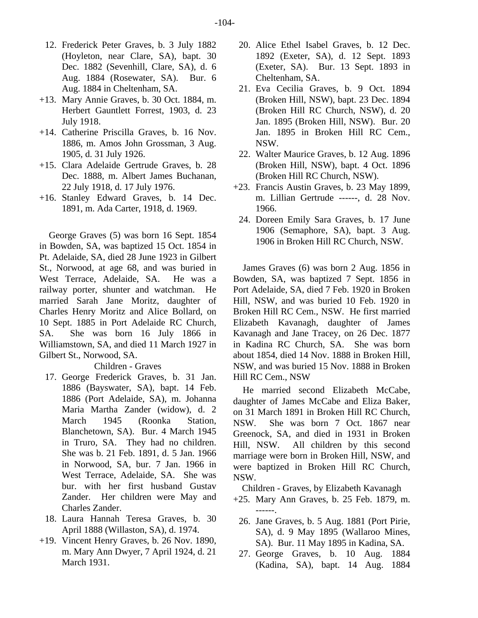- 12. Frederick Peter Graves, b. 3 July 1882 (Hoyleton, near Clare, SA), bapt. 30 Dec. 1882 (Sevenhill, Clare, SA), d. 6 Aug. 1884 (Rosewater, SA). Bur. 6 Aug. 1884 in Cheltenham, SA.
- +13. Mary Annie Graves, b. 30 Oct. 1884, m. Herbert Gauntlett Forrest, 1903, d. 23 July 1918.
- +14. Catherine Priscilla Graves, b. 16 Nov. 1886, m. Amos John Grossman, 3 Aug. 1905, d. 31 July 1926.
- +15. Clara Adelaide Gertrude Graves, b. 28 Dec. 1888, m. Albert James Buchanan, 22 July 1918, d. 17 July 1976.
- +16. Stanley Edward Graves, b. 14 Dec. 1891, m. Ada Carter, 1918, d. 1969.

George Graves (5) was born 16 Sept. 1854 in Bowden, SA, was baptized 15 Oct. 1854 in Pt. Adelaide, SA, died 28 June 1923 in Gilbert St., Norwood, at age 68, and was buried in West Terrace, Adelaide, SA. He was a railway porter, shunter and watchman. He married Sarah Jane Moritz, daughter of Charles Henry Moritz and Alice Bollard, on 10 Sept. 1885 in Port Adelaide RC Church, SA. She was born 16 July 1866 in Williamstown, SA, and died 11 March 1927 in Gilbert St., Norwood, SA.

# Children - Graves

- 17. George Frederick Graves, b. 31 Jan. 1886 (Bayswater, SA), bapt. 14 Feb. 1886 (Port Adelaide, SA), m. Johanna Maria Martha Zander (widow), d. 2 March 1945 (Roonka Station, Blanchetown, SA). Bur. 4 March 1945 in Truro, SA. They had no children. She was b. 21 Feb. 1891, d. 5 Jan. 1966 in Norwood, SA, bur. 7 Jan. 1966 in West Terrace, Adelaide, SA. She was bur. with her first husband Gustav Zander. Her children were May and Charles Zander.
- 18. Laura Hannah Teresa Graves, b. 30 April 1888 (Willaston, SA), d. 1974.
- +19. Vincent Henry Graves, b. 26 Nov. 1890, m. Mary Ann Dwyer, 7 April 1924, d. 21 March 1931.
- 20. Alice Ethel Isabel Graves, b. 12 Dec. 1892 (Exeter, SA), d. 12 Sept. 1893 (Exeter, SA). Bur. 13 Sept. 1893 in Cheltenham, SA.
- 21. Eva Cecilia Graves, b. 9 Oct. 1894 (Broken Hill, NSW), bapt. 23 Dec. 1894 (Broken Hill RC Church, NSW), d. 20 Jan. 1895 (Broken Hill, NSW). Bur. 20 Jan. 1895 in Broken Hill RC Cem., NSW.
- 22. Walter Maurice Graves, b. 12 Aug. 1896 (Broken Hill, NSW), bapt. 4 Oct. 1896 (Broken Hill RC Church, NSW).
- +23. Francis Austin Graves, b. 23 May 1899, m. Lillian Gertrude ------, d. 28 Nov. 1966.
	- 24. Doreen Emily Sara Graves, b. 17 June 1906 (Semaphore, SA), bapt. 3 Aug. 1906 in Broken Hill RC Church, NSW.

James Graves (6) was born 2 Aug. 1856 in Bowden, SA, was baptized 7 Sept. 1856 in Port Adelaide, SA, died 7 Feb. 1920 in Broken Hill, NSW, and was buried 10 Feb. 1920 in Broken Hill RC Cem., NSW. He first married Elizabeth Kavanagh, daughter of James Kavanagh and Jane Tracey, on 26 Dec. 1877 in Kadina RC Church, SA. She was born about 1854, died 14 Nov. 1888 in Broken Hill, NSW, and was buried 15 Nov. 1888 in Broken Hill RC Cem., NSW

He married second Elizabeth McCabe, daughter of James McCabe and Eliza Baker, on 31 March 1891 in Broken Hill RC Church, NSW. She was born 7 Oct. 1867 near Greenock, SA, and died in 1931 in Broken Hill, NSW. All children by this second marriage were born in Broken Hill, NSW, and were baptized in Broken Hill RC Church, NSW.

Children - Graves, by Elizabeth Kavanagh

- +25. Mary Ann Graves, b. 25 Feb. 1879, m. ------.
	- 26. Jane Graves, b. 5 Aug. 1881 (Port Pirie, SA), d. 9 May 1895 (Wallaroo Mines, SA). Bur. 11 May 1895 in Kadina, SA.
	- 27. George Graves, b. 10 Aug. 1884 (Kadina, SA), bapt. 14 Aug. 1884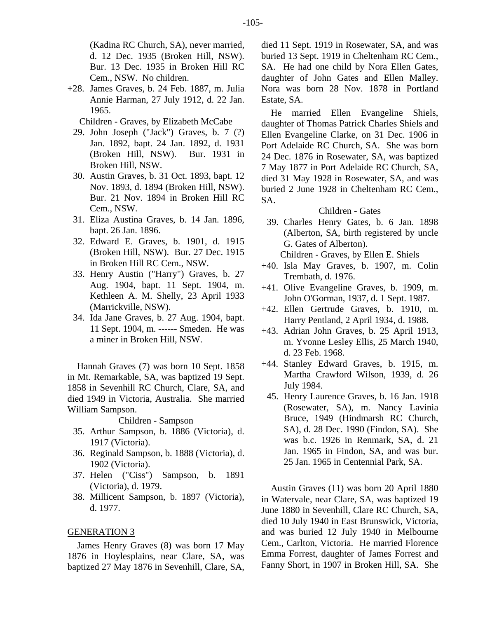(Kadina RC Church, SA), never married, d. 12 Dec. 1935 (Broken Hill, NSW). Bur. 13 Dec. 1935 in Broken Hill RC Cem., NSW. No children.

+28. James Graves, b. 24 Feb. 1887, m. Julia Annie Harman, 27 July 1912, d. 22 Jan. 1965.

Children - Graves, by Elizabeth McCabe

- 29. John Joseph ("Jack") Graves, b. 7 (?) Jan. 1892, bapt. 24 Jan. 1892, d. 1931 (Broken Hill, NSW). Bur. 1931 in Broken Hill, NSW.
- 30. Austin Graves, b. 31 Oct. 1893, bapt. 12 Nov. 1893, d. 1894 (Broken Hill, NSW). Bur. 21 Nov. 1894 in Broken Hill RC Cem., NSW.
- 31. Eliza Austina Graves, b. 14 Jan. 1896, bapt. 26 Jan. 1896.
- 32. Edward E. Graves, b. 1901, d. 1915 (Broken Hill, NSW). Bur. 27 Dec. 1915 in Broken Hill RC Cem., NSW.
- 33. Henry Austin ("Harry") Graves, b. 27 Aug. 1904, bapt. 11 Sept. 1904, m. Kethleen A. M. Shelly, 23 April 1933 (Marrickville, NSW).
- 34. Ida Jane Graves, b. 27 Aug. 1904, bapt. 11 Sept. 1904, m. ------ Smeden. He was a miner in Broken Hill, NSW.

Hannah Graves (7) was born 10 Sept. 1858 in Mt. Remarkable, SA, was baptized 19 Sept. 1858 in Sevenhill RC Church, Clare, SA, and died 1949 in Victoria, Australia. She married William Sampson.

Children - Sampson

- 35. Arthur Sampson, b. 1886 (Victoria), d. 1917 (Victoria).
- 36. Reginald Sampson, b. 1888 (Victoria), d. 1902 (Victoria).
- 37. Helen ("Ciss") Sampson, b. 1891 (Victoria), d. 1979.
- 38. Millicent Sampson, b. 1897 (Victoria), d. 1977.

# GENERATION 3

James Henry Graves (8) was born 17 May 1876 in Hoylesplains, near Clare, SA, was baptized 27 May 1876 in Sevenhill, Clare, SA, died 11 Sept. 1919 in Rosewater, SA, and was buried 13 Sept. 1919 in Cheltenham RC Cem., SA. He had one child by Nora Ellen Gates, daughter of John Gates and Ellen Malley. Nora was born 28 Nov. 1878 in Portland Estate, SA.

He married Ellen Evangeline Shiels, daughter of Thomas Patrick Charles Shiels and Ellen Evangeline Clarke, on 31 Dec. 1906 in Port Adelaide RC Church, SA. She was born 24 Dec. 1876 in Rosewater, SA, was baptized 7 May 1877 in Port Adelaide RC Church, SA, died 31 May 1928 in Rosewater, SA, and was buried 2 June 1928 in Cheltenham RC Cem., SA.

# Children - Gates

 39. Charles Henry Gates, b. 6 Jan. 1898 (Alberton, SA, birth registered by uncle G. Gates of Alberton).

Children - Graves, by Ellen E. Shiels

- +40. Isla May Graves, b. 1907, m. Colin Trembath, d. 1976.
- +41. Olive Evangeline Graves, b. 1909, m. John O'Gorman, 1937, d. 1 Sept. 1987.
- +42. Ellen Gertrude Graves, b. 1910, m. Harry Pentland, 2 April 1934, d. 1988.
- +43. Adrian John Graves, b. 25 April 1913, m. Yvonne Lesley Ellis, 25 March 1940, d. 23 Feb. 1968.
- +44. Stanley Edward Graves, b. 1915, m. Martha Crawford Wilson, 1939, d. 26 July 1984.
	- 45. Henry Laurence Graves, b. 16 Jan. 1918 (Rosewater, SA), m. Nancy Lavinia Bruce, 1949 (Hindmarsh RC Church, SA), d. 28 Dec. 1990 (Findon, SA). She was b.c. 1926 in Renmark, SA, d. 21 Jan. 1965 in Findon, SA, and was bur. 25 Jan. 1965 in Centennial Park, SA.

Austin Graves (11) was born 20 April 1880 in Watervale, near Clare, SA, was baptized 19 June 1880 in Sevenhill, Clare RC Church, SA, died 10 July 1940 in East Brunswick, Victoria, and was buried 12 July 1940 in Melbourne Cem., Carlton, Victoria. He married Florence Emma Forrest, daughter of James Forrest and Fanny Short, in 1907 in Broken Hill, SA. She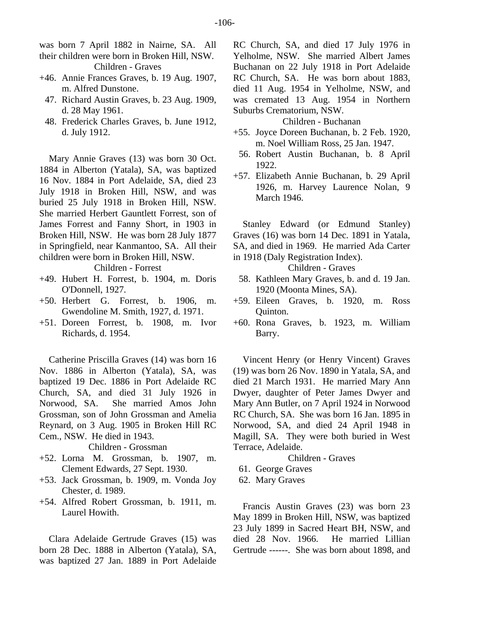was born 7 April 1882 in Nairne, SA. All their children were born in Broken Hill, NSW.

- Children Graves
- +46. Annie Frances Graves, b. 19 Aug. 1907, m. Alfred Dunstone.
	- 47. Richard Austin Graves, b. 23 Aug. 1909, d. 28 May 1961.
	- 48. Frederick Charles Graves, b. June 1912, d. July 1912.

Mary Annie Graves (13) was born 30 Oct. 1884 in Alberton (Yatala), SA, was baptized 16 Nov. 1884 in Port Adelaide, SA, died 23 July 1918 in Broken Hill, NSW, and was buried 25 July 1918 in Broken Hill, NSW. She married Herbert Gauntlett Forrest, son of James Forrest and Fanny Short, in 1903 in Broken Hill, NSW. He was born 28 July 1877 in Springfield, near Kanmantoo, SA. All their children were born in Broken Hill, NSW.

Children - Forrest

- +49. Hubert H. Forrest, b. 1904, m. Doris O'Donnell, 1927.
- +50. Herbert G. Forrest, b. 1906, m. Gwendoline M. Smith, 1927, d. 1971.
- +51. Doreen Forrest, b. 1908, m. Ivor Richards, d. 1954.

Catherine Priscilla Graves (14) was born 16 Nov. 1886 in Alberton (Yatala), SA, was baptized 19 Dec. 1886 in Port Adelaide RC Church, SA, and died 31 July 1926 in Norwood, SA. She married Amos John Grossman, son of John Grossman and Amelia Reynard, on 3 Aug. 1905 in Broken Hill RC Cem., NSW. He died in 1943.

Children - Grossman

- +52. Lorna M. Grossman, b. 1907, m. Clement Edwards, 27 Sept. 1930.
- +53. Jack Grossman, b. 1909, m. Vonda Joy Chester, d. 1989.
- +54. Alfred Robert Grossman, b. 1911, m. Laurel Howith.

Clara Adelaide Gertrude Graves (15) was born 28 Dec. 1888 in Alberton (Yatala), SA, was baptized 27 Jan. 1889 in Port Adelaide

RC Church, SA, and died 17 July 1976 in Yelholme, NSW. She married Albert James Buchanan on 22 July 1918 in Port Adelaide RC Church, SA. He was born about 1883, died 11 Aug. 1954 in Yelholme, NSW, and was cremated 13 Aug. 1954 in Northern Suburbs Crematorium, NSW.

# Children - Buchanan

- +55. Joyce Doreen Buchanan, b. 2 Feb. 1920, m. Noel William Ross, 25 Jan. 1947.
- 56. Robert Austin Buchanan, b. 8 April 1922.
- +57. Elizabeth Annie Buchanan, b. 29 April 1926, m. Harvey Laurence Nolan, 9 March 1946.

Stanley Edward (or Edmund Stanley) Graves (16) was born 14 Dec. 1891 in Yatala, SA, and died in 1969. He married Ada Carter in 1918 (Daly Registration Index).

Children - Graves

- 58. Kathleen Mary Graves, b. and d. 19 Jan. 1920 (Moonta Mines, SA).
- +59. Eileen Graves, b. 1920, m. Ross Quinton.
- +60. Rona Graves, b. 1923, m. William Barry.

Vincent Henry (or Henry Vincent) Graves (19) was born 26 Nov. 1890 in Yatala, SA, and died 21 March 1931. He married Mary Ann Dwyer, daughter of Peter James Dwyer and Mary Ann Butler, on 7 April 1924 in Norwood RC Church, SA. She was born 16 Jan. 1895 in Norwood, SA, and died 24 April 1948 in Magill, SA. They were both buried in West Terrace, Adelaide.

# Children - Graves

- 61. George Graves
- 62. Mary Graves

Francis Austin Graves (23) was born 23 May 1899 in Broken Hill, NSW, was baptized 23 July 1899 in Sacred Heart BH, NSW, and died 28 Nov. 1966. He married Lillian Gertrude ------. She was born about 1898, and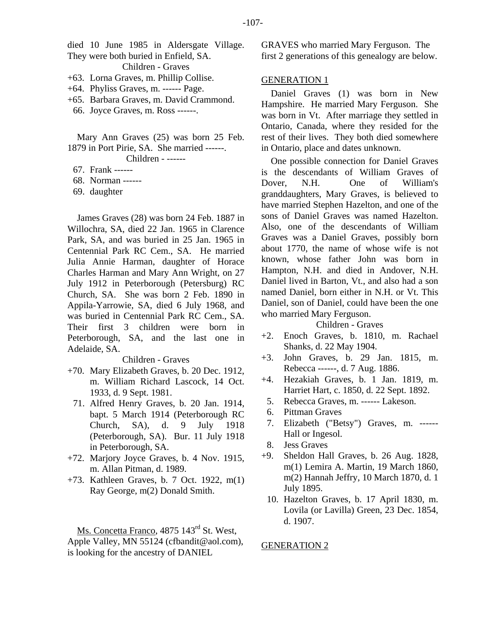died 10 June 1985 in Aldersgate Village. They were both buried in Enfield, SA.

Children - Graves

- +63. Lorna Graves, m. Phillip Collise.
- +64. Phyliss Graves, m. ------ Page.
- +65. Barbara Graves, m. David Crammond.
- 66. Joyce Graves, m. Ross ------.

Mary Ann Graves (25) was born 25 Feb. 1879 in Port Pirie, SA. She married ------.

Children - ------

- 67. Frank ------
- 68. Norman ------
- 69. daughter

James Graves (28) was born 24 Feb. 1887 in Willochra, SA, died 22 Jan. 1965 in Clarence Park, SA, and was buried in 25 Jan. 1965 in Centennial Park RC Cem., SA. He married Julia Annie Harman, daughter of Horace Charles Harman and Mary Ann Wright, on 27 July 1912 in Peterborough (Petersburg) RC Church, SA. She was born 2 Feb. 1890 in Appila-Yarrowie, SA, died 6 July 1968, and was buried in Centennial Park RC Cem., SA. Their first 3 children were born in Peterborough, SA, and the last one in Adelaide, SA.

### Children - Graves

- +70. Mary Elizabeth Graves, b. 20 Dec. 1912, m. William Richard Lascock, 14 Oct. 1933, d. 9 Sept. 1981.
	- 71. Alfred Henry Graves, b. 20 Jan. 1914, bapt. 5 March 1914 (Peterborough RC Church, SA), d. 9 July 1918 (Peterborough, SA). Bur. 11 July 1918 in Peterborough, SA.
- +72. Marjory Joyce Graves, b. 4 Nov. 1915, m. Allan Pitman, d. 1989.
- +73. Kathleen Graves, b. 7 Oct. 1922, m(1) Ray George, m(2) Donald Smith.

Ms. Concetta Franco, 4875 143<sup>rd</sup> St. West, Apple Valley, MN 55124 (cfbandit@aol.com), is looking for the ancestry of DANIEL

GRAVES who married Mary Ferguson. The first 2 generations of this genealogy are below.

#### GENERATION 1

Daniel Graves (1) was born in New Hampshire. He married Mary Ferguson. She was born in Vt. After marriage they settled in Ontario, Canada, where they resided for the rest of their lives. They both died somewhere in Ontario, place and dates unknown.

One possible connection for Daniel Graves is the descendants of William Graves of Dover, N.H. One of William's granddaughters, Mary Graves, is believed to have married Stephen Hazelton, and one of the sons of Daniel Graves was named Hazelton. Also, one of the descendants of William Graves was a Daniel Graves, possibly born about 1770, the name of whose wife is not known, whose father John was born in Hampton, N.H. and died in Andover, N.H. Daniel lived in Barton, Vt., and also had a son named Daniel, born either in N.H. or Vt. This Daniel, son of Daniel, could have been the one who married Mary Ferguson.

Children - Graves

- +2. Enoch Graves, b. 1810, m. Rachael Shanks, d. 22 May 1904.
- +3. John Graves, b. 29 Jan. 1815, m. Rebecca ------, d. 7 Aug. 1886.
- +4. Hezakiah Graves, b. 1 Jan. 1819, m. Harriet Hart, c. 1850, d. 22 Sept. 1892.
- 5. Rebecca Graves, m. ------ Lakeson.
- 6. Pittman Graves
- 7. Elizabeth ("Betsy") Graves, m. ------ Hall or Ingesol.
- 8. Jess Graves
- +9. Sheldon Hall Graves, b. 26 Aug. 1828, m(1) Lemira A. Martin, 19 March 1860, m(2) Hannah Jeffry, 10 March 1870, d. 1 July 1895.
	- 10. Hazelton Graves, b. 17 April 1830, m. Lovila (or Lavilla) Green, 23 Dec. 1854, d. 1907.

#### GENERATION 2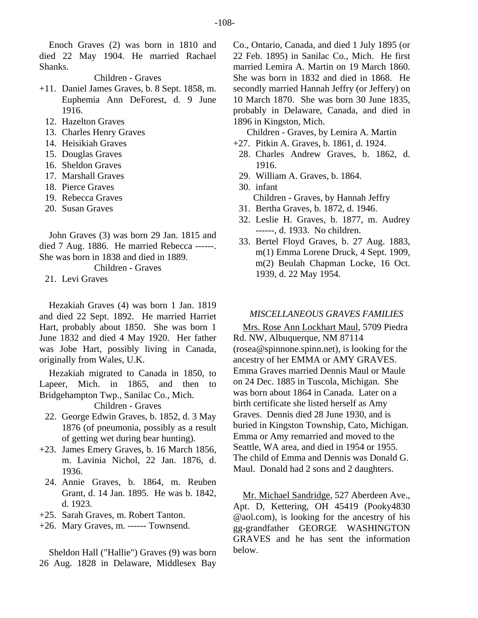Enoch Graves (2) was born in 1810 and died 22 May 1904. He married Rachael Shanks.

# Children - Graves

- +11. Daniel James Graves, b. 8 Sept. 1858, m. Euphemia Ann DeForest, d. 9 June 1916.
	- 12. Hazelton Graves
	- 13. Charles Henry Graves
	- 14. Heisikiah Graves
	- 15. Douglas Graves
	- 16. Sheldon Graves
	- 17. Marshall Graves
	- 18. Pierce Graves
	- 19. Rebecca Graves
	- 20. Susan Graves

John Graves (3) was born 29 Jan. 1815 and died 7 Aug. 1886. He married Rebecca ------. She was born in 1838 and died in 1889.

Children - Graves

21. Levi Graves

Hezakiah Graves (4) was born 1 Jan. 1819 and died 22 Sept. 1892. He married Harriet Hart, probably about 1850. She was born 1 June 1832 and died 4 May 1920. Her father was Jobe Hart, possibly living in Canada, originally from Wales, U.K.

Hezakiah migrated to Canada in 1850, to Lapeer, Mich. in 1865, and then to Bridgehampton Twp., Sanilac Co., Mich.

Children - Graves

- 22. George Edwin Graves, b. 1852, d. 3 May 1876 (of pneumonia, possibly as a result of getting wet during bear hunting).
- +23. James Emery Graves, b. 16 March 1856, m. Lavinia Nichol, 22 Jan. 1876, d. 1936.
	- 24. Annie Graves, b. 1864, m. Reuben Grant, d. 14 Jan. 1895. He was b. 1842, d. 1923.
- +25. Sarah Graves, m. Robert Tanton.
- +26. Mary Graves, m. ------ Townsend.

Sheldon Hall ("Hallie") Graves (9) was born 26 Aug. 1828 in Delaware, Middlesex Bay

Co., Ontario, Canada, and died 1 July 1895 (or 22 Feb. 1895) in Sanilac Co., Mich. He first married Lemira A. Martin on 19 March 1860. She was born in 1832 and died in 1868. He secondly married Hannah Jeffry (or Jeffery) on 10 March 1870. She was born 30 June 1835, probably in Delaware, Canada, and died in 1896 in Kingston, Mich.

Children - Graves, by Lemira A. Martin

- +27. Pitkin A. Graves, b. 1861, d. 1924.
	- 28. Charles Andrew Graves, b. 1862, d. 1916.
	- 29. William A. Graves, b. 1864.
	- 30. infant
		- Children Graves, by Hannah Jeffry
	- 31. Bertha Graves, b. 1872, d. 1946.
	- 32. Leslie H. Graves, b. 1877, m. Audrey ------, d. 1933. No children.
	- 33. Bertel Floyd Graves, b. 27 Aug. 1883, m(1) Emma Lorene Druck, 4 Sept. 1909, m(2) Beulah Chapman Locke, 16 Oct. 1939, d. 22 May 1954.

### *MISCELLANEOUS GRAVES FAMILIES*

Mrs. Rose Ann Lockhart Maul, 5709 Piedra Rd. NW, Albuquerque, NM 87114 (rosea@spinnone.spinn.net), is looking for the ancestry of her EMMA or AMY GRAVES. Emma Graves married Dennis Maul or Maule on 24 Dec. 1885 in Tuscola, Michigan. She was born about 1864 in Canada. Later on a birth certificate she listed herself as Amy Graves. Dennis died 28 June 1930, and is buried in Kingston Township, Cato, Michigan. Emma or Amy remarried and moved to the Seattle, WA area, and died in 1954 or 1955. The child of Emma and Dennis was Donald G. Maul. Donald had 2 sons and 2 daughters.

Mr. Michael Sandridge, 527 Aberdeen Ave., Apt. D, Kettering, OH 45419 (Pooky4830 @aol.com), is looking for the ancestry of his gg-grandfather GEORGE WASHINGTON GRAVES and he has sent the information below.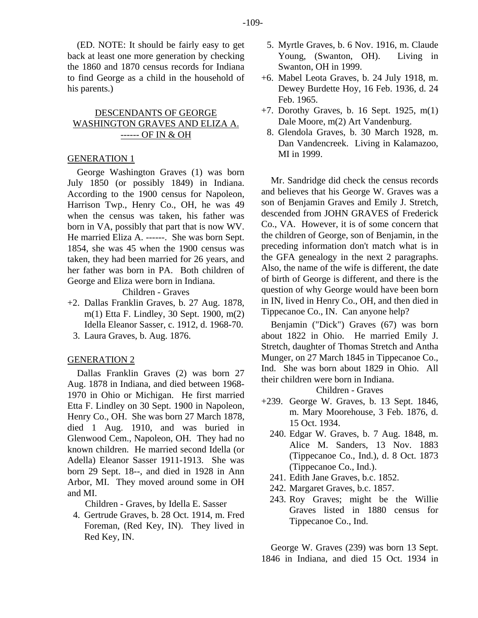(ED. NOTE: It should be fairly easy to get back at least one more generation by checking the 1860 and 1870 census records for Indiana to find George as a child in the household of his parents.)

# DESCENDANTS OF GEORGE WASHINGTON GRAVES AND ELIZA A. ------ OF IN & OH

# GENERATION 1

George Washington Graves (1) was born July 1850 (or possibly 1849) in Indiana. According to the 1900 census for Napoleon, Harrison Twp., Henry Co., OH, he was 49 when the census was taken, his father was born in VA, possibly that part that is now WV. He married Eliza A. ------. She was born Sept. 1854, she was 45 when the 1900 census was taken, they had been married for 26 years, and her father was born in PA. Both children of George and Eliza were born in Indiana.

Children - Graves

- +2. Dallas Franklin Graves, b. 27 Aug. 1878, m(1) Etta F. Lindley, 30 Sept. 1900, m(2) Idella Eleanor Sasser, c. 1912, d. 1968-70.
	- 3. Laura Graves, b. Aug. 1876.

# GENERATION 2

Dallas Franklin Graves (2) was born 27 Aug. 1878 in Indiana, and died between 1968- 1970 in Ohio or Michigan. He first married Etta F. Lindley on 30 Sept. 1900 in Napoleon, Henry Co., OH. She was born 27 March 1878, died 1 Aug. 1910, and was buried in Glenwood Cem., Napoleon, OH. They had no known children. He married second Idella (or Adella) Eleanor Sasser 1911-1913. She was born 29 Sept. 18--, and died in 1928 in Ann Arbor, MI. They moved around some in OH and MI.

Children - Graves, by Idella E. Sasser

 4. Gertrude Graves, b. 28 Oct. 1914, m. Fred Foreman, (Red Key, IN). They lived in Red Key, IN.

- 5. Myrtle Graves, b. 6 Nov. 1916, m. Claude Young, (Swanton, OH). Living in Swanton, OH in 1999.
- +6. Mabel Leota Graves, b. 24 July 1918, m. Dewey Burdette Hoy, 16 Feb. 1936, d. 24 Feb. 1965.
- +7. Dorothy Graves, b. 16 Sept. 1925, m(1) Dale Moore, m(2) Art Vandenburg.
	- 8. Glendola Graves, b. 30 March 1928, m. Dan Vandencreek. Living in Kalamazoo, MI in 1999.

Mr. Sandridge did check the census records and believes that his George W. Graves was a son of Benjamin Graves and Emily J. Stretch, descended from JOHN GRAVES of Frederick Co., VA. However, it is of some concern that the children of George, son of Benjamin, in the preceding information don't match what is in the GFA genealogy in the next 2 paragraphs. Also, the name of the wife is different, the date of birth of George is different, and there is the question of why George would have been born in IN, lived in Henry Co., OH, and then died in Tippecanoe Co., IN. Can anyone help?

Benjamin ("Dick") Graves (67) was born about 1822 in Ohio. He married Emily J. Stretch, daughter of Thomas Stretch and Antha Munger, on 27 March 1845 in Tippecanoe Co., Ind. She was born about 1829 in Ohio. All their children were born in Indiana.

Children - Graves

- +239. George W. Graves, b. 13 Sept. 1846, m. Mary Moorehouse, 3 Feb. 1876, d. 15 Oct. 1934.
	- 240. Edgar W. Graves, b. 7 Aug. 1848, m. Alice M. Sanders, 13 Nov. 1883 (Tippecanoe Co., Ind.), d. 8 Oct. 1873 (Tippecanoe Co., Ind.).
	- 241. Edith Jane Graves, b.c. 1852.
	- 242. Margaret Graves, b.c. 1857.
	- 243. Roy Graves; might be the Willie Graves listed in 1880 census for Tippecanoe Co., Ind.

George W. Graves (239) was born 13 Sept. 1846 in Indiana, and died 15 Oct. 1934 in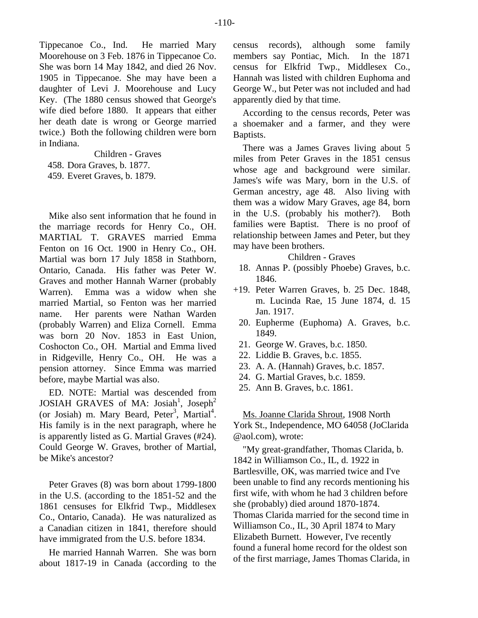Tippecanoe Co., Ind. He married Mary Moorehouse on 3 Feb. 1876 in Tippecanoe Co. She was born 14 May 1842, and died 26 Nov. 1905 in Tippecanoe. She may have been a daughter of Levi J. Moorehouse and Lucy Key. (The 1880 census showed that George's wife died before 1880. It appears that either her death date is wrong or George married twice.) Both the following children were born in Indiana.

Children - Graves 458. Dora Graves, b. 1877. 459. Everet Graves, b. 1879.

Mike also sent information that he found in the marriage records for Henry Co., OH. MARTIAL T. GRAVES married Emma Fenton on 16 Oct. 1900 in Henry Co., OH. Martial was born 17 July 1858 in Stathborn, Ontario, Canada. His father was Peter W. Graves and mother Hannah Warner (probably Warren). Emma was a widow when she married Martial, so Fenton was her married name. Her parents were Nathan Warden (probably Warren) and Eliza Cornell. Emma was born 20 Nov. 1853 in East Union, Coshocton Co., OH. Martial and Emma lived in Ridgeville, Henry Co., OH. He was a pension attorney. Since Emma was married before, maybe Martial was also.

ED. NOTE: Martial was descended from JOSIAH GRAVES of MA: Josiah<sup>1</sup>, Joseph<sup>2</sup> (or Josiah) m. Mary Beard, Peter<sup>3</sup>, Martial<sup>4</sup>. His family is in the next paragraph, where he is apparently listed as G. Martial Graves (#24). Could George W. Graves, brother of Martial, be Mike's ancestor?

Peter Graves (8) was born about 1799-1800 in the U.S. (according to the 1851-52 and the 1861 censuses for Elkfrid Twp., Middlesex Co., Ontario, Canada). He was naturalized as a Canadian citizen in 1841, therefore should have immigrated from the U.S. before 1834.

He married Hannah Warren. She was born about 1817-19 in Canada (according to the census records), although some family members say Pontiac, Mich. In the 1871 census for Elkfrid Twp., Middlesex Co., Hannah was listed with children Euphoma and George W., but Peter was not included and had apparently died by that time.

According to the census records, Peter was a shoemaker and a farmer, and they were Baptists.

There was a James Graves living about 5 miles from Peter Graves in the 1851 census whose age and background were similar. James's wife was Mary, born in the U.S. of German ancestry, age 48. Also living with them was a widow Mary Graves, age 84, born in the U.S. (probably his mother?). Both families were Baptist. There is no proof of relationship between James and Peter, but they may have been brothers.

# Children - Graves

- 18. Annas P. (possibly Phoebe) Graves, b.c. 1846.
- +19. Peter Warren Graves, b. 25 Dec. 1848, m. Lucinda Rae, 15 June 1874, d. 15 Jan. 1917.
	- 20. Eupherme (Euphoma) A. Graves, b.c. 1849.
	- 21. George W. Graves, b.c. 1850.
	- 22. Liddie B. Graves, b.c. 1855.
	- 23. A. A. (Hannah) Graves, b.c. 1857.
	- 24. G. Martial Graves, b.c. 1859.
	- 25. Ann B. Graves, b.c. 1861.

Ms. Joanne Clarida Shrout, 1908 North York St., Independence, MO 64058 (JoClarida @aol.com), wrote:

"My great-grandfather, Thomas Clarida, b. 1842 in Williamson Co., IL, d. 1922 in Bartlesville, OK, was married twice and I've been unable to find any records mentioning his first wife, with whom he had 3 children before she (probably) died around 1870-1874. Thomas Clarida married for the second time in Williamson Co., IL, 30 April 1874 to Mary Elizabeth Burnett. However, I've recently found a funeral home record for the oldest son of the first marriage, James Thomas Clarida, in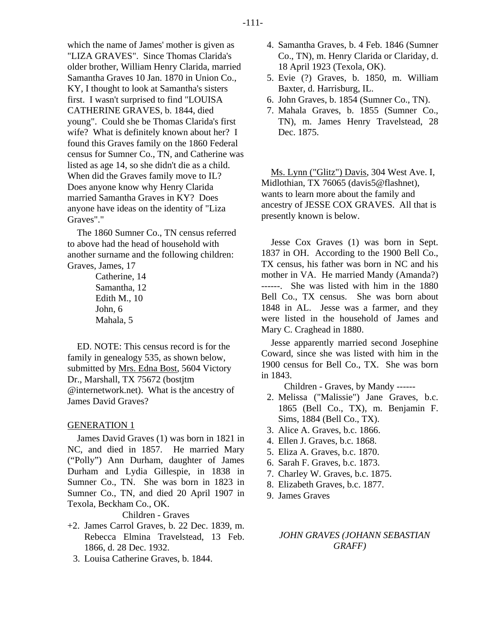which the name of James' mother is given as "LIZA GRAVES". Since Thomas Clarida's older brother, William Henry Clarida, married Samantha Graves 10 Jan. 1870 in Union Co., KY, I thought to look at Samantha's sisters first. I wasn't surprised to find "LOUISA CATHERINE GRAVES, b. 1844, died young". Could she be Thomas Clarida's first wife? What is definitely known about her? I found this Graves family on the 1860 Federal census for Sumner Co., TN, and Catherine was listed as age 14, so she didn't die as a child. When did the Graves family move to IL? Does anyone know why Henry Clarida married Samantha Graves in KY? Does anyone have ideas on the identity of "Liza Graves"."

The 1860 Sumner Co., TN census referred to above had the head of household with another surname and the following children: Graves, James, 17

> Catherine, 14 Samantha, 12 Edith M., 10 John, 6 Mahala, 5

ED. NOTE: This census record is for the family in genealogy 535, as shown below, submitted by Mrs. Edna Bost, 5604 Victory Dr., Marshall, TX 75672 (bostjtm @internetwork.net). What is the ancestry of James David Graves?

# GENERATION 1

James David Graves (1) was born in 1821 in NC, and died in 1857. He married Mary ("Polly") Ann Durham, daughter of James Durham and Lydia Gillespie, in 1838 in Sumner Co., TN. She was born in 1823 in Sumner Co., TN, and died 20 April 1907 in Texola, Beckham Co., OK.

# Children - Graves

- +2. James Carrol Graves, b. 22 Dec. 1839, m. Rebecca Elmina Travelstead, 13 Feb. 1866, d. 28 Dec. 1932.
- 3. Louisa Catherine Graves, b. 1844.
- 4. Samantha Graves, b. 4 Feb. 1846 (Sumner Co., TN), m. Henry Clarida or Clariday, d. 18 April 1923 (Texola, OK).
- 5. Evie (?) Graves, b. 1850, m. William Baxter, d. Harrisburg, IL.
- 6. John Graves, b. 1854 (Sumner Co., TN).
- 7. Mahala Graves, b. 1855 (Sumner Co., TN), m. James Henry Travelstead, 28 Dec. 1875.

Ms. Lynn ("Glitz") Davis, 304 West Ave. I, Midlothian, TX 76065 (davis5@flashnet), wants to learn more about the family and ancestry of JESSE COX GRAVES. All that is presently known is below.

Jesse Cox Graves (1) was born in Sept. 1837 in OH. According to the 1900 Bell Co., TX census, his father was born in NC and his mother in VA. He married Mandy (Amanda?) ------. She was listed with him in the 1880 Bell Co., TX census. She was born about 1848 in AL. Jesse was a farmer, and they were listed in the household of James and Mary C. Craghead in 1880.

Jesse apparently married second Josephine Coward, since she was listed with him in the 1900 census for Bell Co., TX. She was born in 1843.

Children - Graves, by Mandy ------

- 2. Melissa ("Malissie") Jane Graves, b.c. 1865 (Bell Co., TX), m. Benjamin F. Sims, 1884 (Bell Co., TX).
- 3. Alice A. Graves, b.c. 1866.
- 4. Ellen J. Graves, b.c. 1868.
- 5. Eliza A. Graves, b.c. 1870.
- 6. Sarah F. Graves, b.c. 1873.
- 7. Charley W. Graves, b.c. 1875.
- 8. Elizabeth Graves, b.c. 1877.
- 9. James Graves

# *JOHN GRAVES (JOHANN SEBASTIAN GRAFF)*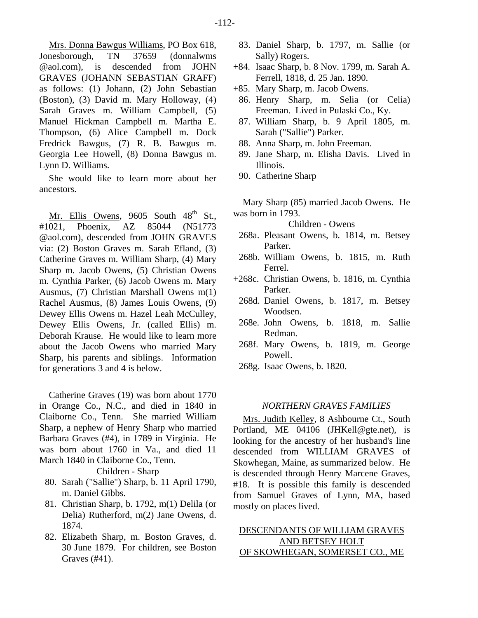Mrs. Donna Bawgus Williams, PO Box 618, Jonesborough, TN 37659 (donnalwms @aol.com), is descended from JOHN GRAVES (JOHANN SEBASTIAN GRAFF) as follows: (1) Johann, (2) John Sebastian (Boston), (3) David m. Mary Holloway, (4) Sarah Graves m. William Campbell, (5) Manuel Hickman Campbell m. Martha E. Thompson, (6) Alice Campbell m. Dock Fredrick Bawgus, (7) R. B. Bawgus m. Georgia Lee Howell, (8) Donna Bawgus m. Lynn D. Williams.

She would like to learn more about her ancestors.

Mr. Ellis Owens,  $9605$  South  $48<sup>th</sup>$  St. #1021, Phoenix, AZ 85044 (N51773 @aol.com), descended from JOHN GRAVES via: (2) Boston Graves m. Sarah Efland, (3) Catherine Graves m. William Sharp, (4) Mary Sharp m. Jacob Owens, (5) Christian Owens m. Cynthia Parker, (6) Jacob Owens m. Mary Ausmus, (7) Christian Marshall Owens m(1) Rachel Ausmus, (8) James Louis Owens, (9) Dewey Ellis Owens m. Hazel Leah McCulley, Dewey Ellis Owens, Jr. (called Ellis) m. Deborah Krause. He would like to learn more about the Jacob Owens who married Mary Sharp, his parents and siblings. Information for generations 3 and 4 is below.

Catherine Graves (19) was born about 1770 in Orange Co., N.C., and died in 1840 in Claiborne Co., Tenn. She married William Sharp, a nephew of Henry Sharp who married Barbara Graves (#4), in 1789 in Virginia. He was born about 1760 in Va., and died 11 March 1840 in Claiborne Co., Tenn.

Children - Sharp

- 80. Sarah ("Sallie") Sharp, b. 11 April 1790, m. Daniel Gibbs.
- 81. Christian Sharp, b. 1792, m(1) Delila (or Delia) Rutherford, m(2) Jane Owens, d. 1874.
- 82. Elizabeth Sharp, m. Boston Graves, d. 30 June 1879. For children, see Boston Graves (#41).
- 83. Daniel Sharp, b. 1797, m. Sallie (or Sally) Rogers.
- +84. Isaac Sharp, b. 8 Nov. 1799, m. Sarah A. Ferrell, 1818, d. 25 Jan. 1890.
- +85. Mary Sharp, m. Jacob Owens.
- 86. Henry Sharp, m. Selia (or Celia) Freeman. Lived in Pulaski Co., Ky.
- 87. William Sharp, b. 9 April 1805, m. Sarah ("Sallie") Parker.
- 88. Anna Sharp, m. John Freeman.
- 89. Jane Sharp, m. Elisha Davis. Lived in Illinois.
- 90. Catherine Sharp

Mary Sharp (85) married Jacob Owens. He was born in 1793.

Children - Owens

- 268a. Pleasant Owens, b. 1814, m. Betsey Parker.
- 268b. William Owens, b. 1815, m. Ruth Ferrel.
- +268c. Christian Owens, b. 1816, m. Cynthia Parker.
	- 268d. Daniel Owens, b. 1817, m. Betsey Woodsen.
	- 268e. John Owens, b. 1818, m. Sallie Redman.
	- 268f. Mary Owens, b. 1819, m. George Powell.
	- 268g. Isaac Owens, b. 1820.

# *NORTHERN GRAVES FAMILIES*

Mrs. Judith Kelley, 8 Ashbourne Ct., South Portland, ME 04106 (JHKell@gte.net), is looking for the ancestry of her husband's line descended from WILLIAM GRAVES of Skowhegan, Maine, as summarized below. He is descended through Henry Marcene Graves, #18. It is possible this family is descended from Samuel Graves of Lynn, MA, based mostly on places lived.

# DESCENDANTS OF WILLIAM GRAVES AND BETSEY HOLT OF SKOWHEGAN, SOMERSET CO., ME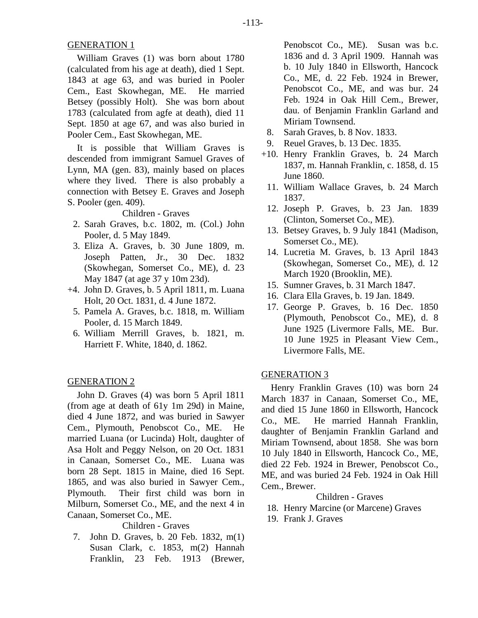# GENERATION 1

William Graves (1) was born about 1780 (calculated from his age at death), died 1 Sept. 1843 at age 63, and was buried in Pooler Cem., East Skowhegan, ME. He married Betsey (possibly Holt). She was born about 1783 (calculated from agfe at death), died 11 Sept. 1850 at age 67, and was also buried in Pooler Cem., East Skowhegan, ME.

It is possible that William Graves is descended from immigrant Samuel Graves of Lynn, MA (gen. 83), mainly based on places where they lived. There is also probably a connection with Betsey E. Graves and Joseph S. Pooler (gen. 409).

Children - Graves

- 2. Sarah Graves, b.c. 1802, m. (Col.) John Pooler, d. 5 May 1849.
- 3. Eliza A. Graves, b. 30 June 1809, m. Joseph Patten, Jr., 30 Dec. 1832 (Skowhegan, Somerset Co., ME), d. 23 May 1847 (at age 37 y 10m 23d).
- +4. John D. Graves, b. 5 April 1811, m. Luana Holt, 20 Oct. 1831, d. 4 June 1872.
	- 5. Pamela A. Graves, b.c. 1818, m. William Pooler, d. 15 March 1849.
	- 6. William Merrill Graves, b. 1821, m. Harriett F. White, 1840, d. 1862.

# GENERATION 2

John D. Graves (4) was born 5 April 1811 (from age at death of 61y 1m 29d) in Maine, died 4 June 1872, and was buried in Sawyer Cem., Plymouth, Penobscot Co., ME. He married Luana (or Lucinda) Holt, daughter of Asa Holt and Peggy Nelson, on 20 Oct. 1831 in Canaan, Somerset Co., ME. Luana was born 28 Sept. 1815 in Maine, died 16 Sept. 1865, and was also buried in Sawyer Cem., Plymouth. Their first child was born in Milburn, Somerset Co., ME, and the next 4 in Canaan, Somerset Co., ME.

Children - Graves

 7. John D. Graves, b. 20 Feb. 1832, m(1) Susan Clark, c. 1853, m(2) Hannah Franklin, 23 Feb. 1913 (Brewer,

Penobscot Co., ME). Susan was b.c. 1836 and d. 3 April 1909. Hannah was b. 10 July 1840 in Ellsworth, Hancock Co., ME, d. 22 Feb. 1924 in Brewer, Penobscot Co., ME, and was bur. 24 Feb. 1924 in Oak Hill Cem., Brewer, dau. of Benjamin Franklin Garland and Miriam Townsend.

- 8. Sarah Graves, b. 8 Nov. 1833.
- 9. Reuel Graves, b. 13 Dec. 1835.
- +10. Henry Franklin Graves, b. 24 March 1837, m. Hannah Franklin, c. 1858, d. 15 June 1860.
- 11. William Wallace Graves, b. 24 March 1837.
- 12. Joseph P. Graves, b. 23 Jan. 1839 (Clinton, Somerset Co., ME).
- 13. Betsey Graves, b. 9 July 1841 (Madison, Somerset Co., ME).
- 14. Lucretia M. Graves, b. 13 April 1843 (Skowhegan, Somerset Co., ME), d. 12 March 1920 (Brooklin, ME).
- 15. Sumner Graves, b. 31 March 1847.
- 16. Clara Ella Graves, b. 19 Jan. 1849.
- 17. George P. Graves, b. 16 Dec. 1850 (Plymouth, Penobscot Co., ME), d. 8 June 1925 (Livermore Falls, ME. Bur. 10 June 1925 in Pleasant View Cem., Livermore Falls, ME.

# GENERATION 3

Henry Franklin Graves (10) was born 24 March 1837 in Canaan, Somerset Co., ME, and died 15 June 1860 in Ellsworth, Hancock Co., ME. He married Hannah Franklin, daughter of Benjamin Franklin Garland and Miriam Townsend, about 1858. She was born 10 July 1840 in Ellsworth, Hancock Co., ME, died 22 Feb. 1924 in Brewer, Penobscot Co., ME, and was buried 24 Feb. 1924 in Oak Hill Cem., Brewer.

Children - Graves

- 18. Henry Marcine (or Marcene) Graves
- 19. Frank J. Graves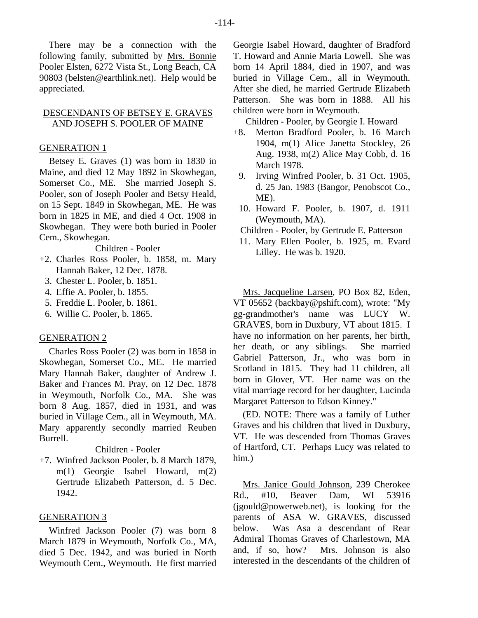There may be a connection with the following family, submitted by Mrs. Bonnie Pooler Elsten, 6272 Vista St., Long Beach, CA 90803 (belsten@earthlink.net). Help would be appreciated.

# DESCENDANTS OF BETSEY E. GRAVES AND JOSEPH S. POOLER OF MAINE

### GENERATION 1

Betsey E. Graves (1) was born in 1830 in Maine, and died 12 May 1892 in Skowhegan, Somerset Co., ME. She married Joseph S. Pooler, son of Joseph Pooler and Betsy Heald, on 15 Sept. 1849 in Skowhegan, ME. He was born in 1825 in ME, and died 4 Oct. 1908 in Skowhegan. They were both buried in Pooler Cem., Skowhegan.

Children - Pooler

- +2. Charles Ross Pooler, b. 1858, m. Mary Hannah Baker, 12 Dec. 1878.
	- 3. Chester L. Pooler, b. 1851.
	- 4. Effie A. Pooler, b. 1855.
	- 5. Freddie L. Pooler, b. 1861.
	- 6. Willie C. Pooler, b. 1865.

#### GENERATION 2

Charles Ross Pooler (2) was born in 1858 in Skowhegan, Somerset Co., ME. He married Mary Hannah Baker, daughter of Andrew J. Baker and Frances M. Pray, on 12 Dec. 1878 in Weymouth, Norfolk Co., MA. She was born 8 Aug. 1857, died in 1931, and was buried in Village Cem., all in Weymouth, MA. Mary apparently secondly married Reuben Burrell.

Children - Pooler

+7. Winfred Jackson Pooler, b. 8 March 1879, m(1) Georgie Isabel Howard, m(2) Gertrude Elizabeth Patterson, d. 5 Dec. 1942.

#### GENERATION 3

Winfred Jackson Pooler (7) was born 8 March 1879 in Weymouth, Norfolk Co., MA, died 5 Dec. 1942, and was buried in North Weymouth Cem., Weymouth. He first married Georgie Isabel Howard, daughter of Bradford T. Howard and Annie Maria Lowell. She was born 14 April 1884, died in 1907, and was buried in Village Cem., all in Weymouth. After she died, he married Gertrude Elizabeth Patterson. She was born in 1888. All his children were born in Weymouth.

Children - Pooler, by Georgie I. Howard

- +8. Merton Bradford Pooler, b. 16 March 1904, m(1) Alice Janetta Stockley, 26 Aug. 1938, m(2) Alice May Cobb, d. 16 March 1978.
	- 9. Irving Winfred Pooler, b. 31 Oct. 1905, d. 25 Jan. 1983 (Bangor, Penobscot Co., ME).
	- 10. Howard F. Pooler, b. 1907, d. 1911 (Weymouth, MA).
	- Children Pooler, by Gertrude E. Patterson
	- 11. Mary Ellen Pooler, b. 1925, m. Evard Lilley. He was b. 1920.

Mrs. Jacqueline Larsen, PO Box 82, Eden, VT 05652 (backbay@pshift.com), wrote: "My gg-grandmother's name was LUCY W. GRAVES, born in Duxbury, VT about 1815. I have no information on her parents, her birth, her death, or any siblings. She married Gabriel Patterson, Jr., who was born in Scotland in 1815. They had 11 children, all born in Glover, VT. Her name was on the vital marriage record for her daughter, Lucinda Margaret Patterson to Edson Kinney."

(ED. NOTE: There was a family of Luther Graves and his children that lived in Duxbury, VT. He was descended from Thomas Graves of Hartford, CT. Perhaps Lucy was related to him.)

Mrs. Janice Gould Johnson, 239 Cherokee Rd., #10, Beaver Dam, WI 53916 (jgould@powerweb.net), is looking for the parents of ASA W. GRAVES, discussed below. Was Asa a descendant of Rear Admiral Thomas Graves of Charlestown, MA and, if so, how? Mrs. Johnson is also interested in the descendants of the children of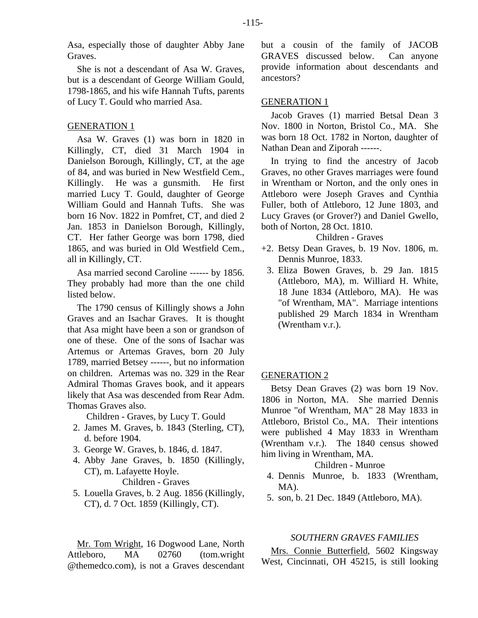Asa, especially those of daughter Abby Jane Graves.

She is not a descendant of Asa W. Graves, but is a descendant of George William Gould, 1798-1865, and his wife Hannah Tufts, parents of Lucy T. Gould who married Asa.

#### GENERATION 1

Asa W. Graves (1) was born in 1820 in Killingly, CT, died 31 March 1904 in Danielson Borough, Killingly, CT, at the age of 84, and was buried in New Westfield Cem., Killingly. He was a gunsmith. He first married Lucy T. Gould, daughter of George William Gould and Hannah Tufts. She was born 16 Nov. 1822 in Pomfret, CT, and died 2 Jan. 1853 in Danielson Borough, Killingly, CT. Her father George was born 1798, died 1865, and was buried in Old Westfield Cem., all in Killingly, CT.

Asa married second Caroline ------ by 1856. They probably had more than the one child listed below.

The 1790 census of Killingly shows a John Graves and an Isachar Graves. It is thought that Asa might have been a son or grandson of one of these. One of the sons of Isachar was Artemus or Artemas Graves, born 20 July 1789, married Betsey ------, but no information on children. Artemas was no. 329 in the Rear Admiral Thomas Graves book, and it appears likely that Asa was descended from Rear Adm. Thomas Graves also.

Children - Graves, by Lucy T. Gould

- 2. James M. Graves, b. 1843 (Sterling, CT), d. before 1904.
- 3. George W. Graves, b. 1846, d. 1847.
- 4. Abby Jane Graves, b. 1850 (Killingly, CT), m. Lafayette Hoyle. Children - Graves
- 5. Louella Graves, b. 2 Aug. 1856 (Killingly, CT), d. 7 Oct. 1859 (Killingly, CT).

Mr. Tom Wright, 16 Dogwood Lane, North Attleboro, MA 02760 (tom.wright @themedco.com), is not a Graves descendant

but a cousin of the family of JACOB GRAVES discussed below. Can anyone provide information about descendants and ancestors?

#### GENERATION 1

Jacob Graves (1) married Betsal Dean 3 Nov. 1800 in Norton, Bristol Co., MA. She was born 18 Oct. 1782 in Norton, daughter of Nathan Dean and Ziporah ------.

In trying to find the ancestry of Jacob Graves, no other Graves marriages were found in Wrentham or Norton, and the only ones in Attleboro were Joseph Graves and Cynthia Fuller, both of Attleboro, 12 June 1803, and Lucy Graves (or Grover?) and Daniel Gwello, both of Norton, 28 Oct. 1810.

#### Children - Graves

- +2. Betsy Dean Graves, b. 19 Nov. 1806, m. Dennis Munroe, 1833.
	- 3. Eliza Bowen Graves, b. 29 Jan. 1815 (Attleboro, MA), m. Williard H. White, 18 June 1834 (Attleboro, MA). He was "of Wrentham, MA". Marriage intentions published 29 March 1834 in Wrentham (Wrentham v.r.).

# GENERATION 2

Betsy Dean Graves (2) was born 19 Nov. 1806 in Norton, MA. She married Dennis Munroe "of Wrentham, MA" 28 May 1833 in Attleboro, Bristol Co., MA. Their intentions were published 4 May 1833 in Wrentham (Wrentham v.r.). The 1840 census showed him living in Wrentham, MA.

# Children - Munroe

- 4. Dennis Munroe, b. 1833 (Wrentham, MA).
- 5. son, b. 21 Dec. 1849 (Attleboro, MA).

#### *SOUTHERN GRAVES FAMILIES*

Mrs. Connie Butterfield, 5602 Kingsway West, Cincinnati, OH 45215, is still looking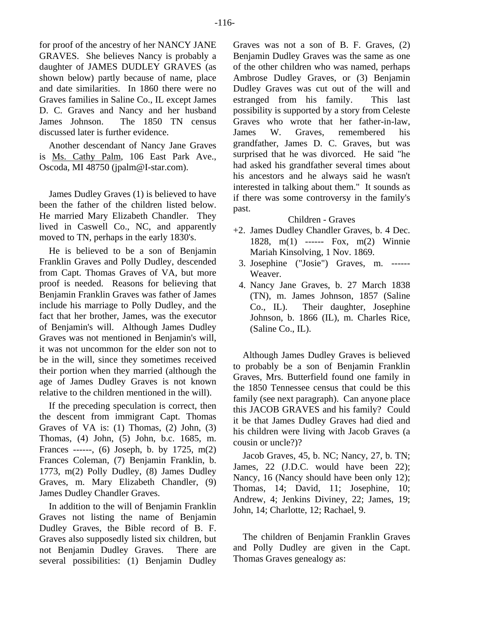for proof of the ancestry of her NANCY JANE GRAVES. She believes Nancy is probably a daughter of JAMES DUDLEY GRAVES (as shown below) partly because of name, place and date similarities. In 1860 there were no Graves families in Saline Co., IL except James D. C. Graves and Nancy and her husband James Johnson. The 1850 TN census discussed later is further evidence.

Another descendant of Nancy Jane Graves is Ms. Cathy Palm, 106 East Park Ave., Oscoda, MI 48750 (jpalm@I-star.com).

James Dudley Graves (1) is believed to have been the father of the children listed below. He married Mary Elizabeth Chandler. They lived in Caswell Co., NC, and apparently moved to TN, perhaps in the early 1830's.

He is believed to be a son of Benjamin Franklin Graves and Polly Dudley, descended from Capt. Thomas Graves of VA, but more proof is needed. Reasons for believing that Benjamin Franklin Graves was father of James include his marriage to Polly Dudley, and the fact that her brother, James, was the executor of Benjamin's will. Although James Dudley Graves was not mentioned in Benjamin's will, it was not uncommon for the elder son not to be in the will, since they sometimes received their portion when they married (although the age of James Dudley Graves is not known relative to the children mentioned in the will).

If the preceding speculation is correct, then the descent from immigrant Capt. Thomas Graves of VA is:  $(1)$  Thomas,  $(2)$  John,  $(3)$ Thomas, (4) John, (5) John, b.c. 1685, m. Frances ------, (6) Joseph, b. by 1725, m(2) Frances Coleman, (7) Benjamin Franklin, b. 1773, m(2) Polly Dudley, (8) James Dudley Graves, m. Mary Elizabeth Chandler, (9) James Dudley Chandler Graves.

In addition to the will of Benjamin Franklin Graves not listing the name of Benjamin Dudley Graves, the Bible record of B. F. Graves also supposedly listed six children, but not Benjamin Dudley Graves. There are several possibilities: (1) Benjamin Dudley

Graves was not a son of B. F. Graves, (2) Benjamin Dudley Graves was the same as one of the other children who was named, perhaps Ambrose Dudley Graves, or (3) Benjamin Dudley Graves was cut out of the will and estranged from his family. This last possibility is supported by a story from Celeste Graves who wrote that her father-in-law, James W. Graves, remembered his grandfather, James D. C. Graves, but was surprised that he was divorced. He said "he had asked his grandfather several times about his ancestors and he always said he wasn't interested in talking about them." It sounds as if there was some controversy in the family's past.

# Children - Graves

- +2. James Dudley Chandler Graves, b. 4 Dec. 1828, m(1) ------ Fox, m(2) Winnie Mariah Kinsolving, 1 Nov. 1869.
	- 3. Josephine ("Josie") Graves, m. ------ Weaver.
	- 4. Nancy Jane Graves, b. 27 March 1838 (TN), m. James Johnson, 1857 (Saline Co., IL). Their daughter, Josephine Johnson, b. 1866 (IL), m. Charles Rice, (Saline Co., IL).

Although James Dudley Graves is believed to probably be a son of Benjamin Franklin Graves, Mrs. Butterfield found one family in the 1850 Tennessee census that could be this family (see next paragraph). Can anyone place this JACOB GRAVES and his family? Could it be that James Dudley Graves had died and his children were living with Jacob Graves (a cousin or uncle?)?

Jacob Graves, 45, b. NC; Nancy, 27, b. TN; James, 22 (J.D.C. would have been 22); Nancy, 16 (Nancy should have been only 12); Thomas, 14; David, 11; Josephine, 10; Andrew, 4; Jenkins Diviney, 22; James, 19; John, 14; Charlotte, 12; Rachael, 9.

The children of Benjamin Franklin Graves and Polly Dudley are given in the Capt. Thomas Graves genealogy as: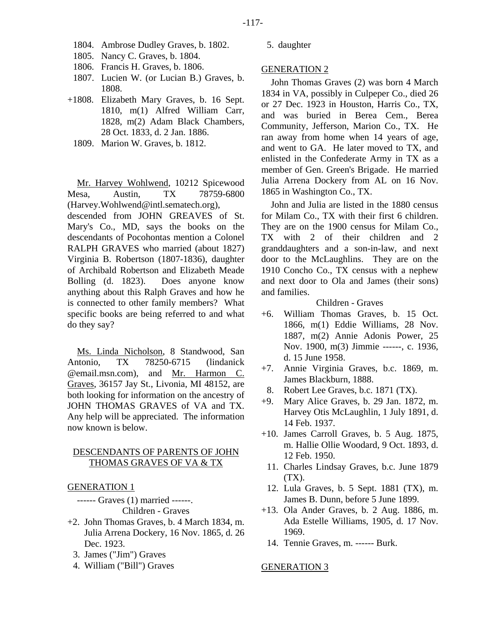- 1804. Ambrose Dudley Graves, b. 1802.
- 1805. Nancy C. Graves, b. 1804.
- 1806. Francis H. Graves, b. 1806.
- 1807. Lucien W. (or Lucian B.) Graves, b. 1808.
- +1808. Elizabeth Mary Graves, b. 16 Sept. 1810, m(1) Alfred William Carr, 1828, m(2) Adam Black Chambers, 28 Oct. 1833, d. 2 Jan. 1886.
	- 1809. Marion W. Graves, b. 1812.

Mr. Harvey Wohlwend, 10212 Spicewood Mesa, Austin, TX 78759-6800 (Harvey.Wohlwend@intl.sematech.org),

descended from JOHN GREAVES of St. Mary's Co., MD, says the books on the descendants of Pocohontas mention a Colonel RALPH GRAVES who married (about 1827) Virginia B. Robertson (1807-1836), daughter of Archibald Robertson and Elizabeth Meade Bolling (d. 1823). Does anyone know anything about this Ralph Graves and how he is connected to other family members? What specific books are being referred to and what do they say?

Ms. Linda Nicholson, 8 Standwood, San Antonio, TX 78250-6715 (lindanick @email.msn.com), and Mr. Harmon C. Graves, 36157 Jay St., Livonia, MI 48152, are both looking for information on the ancestry of JOHN THOMAS GRAVES of VA and TX. Any help will be appreciated. The information now known is below.

# DESCENDANTS OF PARENTS OF JOHN THOMAS GRAVES OF VA & TX

GENERATION 1

- ------ Graves (1) married ------. Children - Graves
- +2. John Thomas Graves, b. 4 March 1834, m. Julia Arrena Dockery, 16 Nov. 1865, d. 26 Dec. 1923.
	- 3. James ("Jim") Graves
	- 4. William ("Bill") Graves

5. daughter

#### GENERATION 2

John Thomas Graves (2) was born 4 March 1834 in VA, possibly in Culpeper Co., died 26 or 27 Dec. 1923 in Houston, Harris Co., TX, and was buried in Berea Cem., Berea Community, Jefferson, Marion Co., TX. He ran away from home when 14 years of age, and went to GA. He later moved to TX, and enlisted in the Confederate Army in TX as a member of Gen. Green's Brigade. He married Julia Arrena Dockery from AL on 16 Nov. 1865 in Washington Co., TX.

John and Julia are listed in the 1880 census for Milam Co., TX with their first 6 children. They are on the 1900 census for Milam Co., TX with 2 of their children and 2 granddaughters and a son-in-law, and next door to the McLaughlins. They are on the 1910 Concho Co., TX census with a nephew and next door to Ola and James (their sons) and families.

# Children - Graves

- +6. William Thomas Graves, b. 15 Oct. 1866, m(1) Eddie Williams, 28 Nov. 1887, m(2) Annie Adonis Power, 25 Nov. 1900, m(3) Jimmie ------, c. 1936, d. 15 June 1958.
- +7. Annie Virginia Graves, b.c. 1869, m. James Blackburn, 1888.
- 8. Robert Lee Graves, b.c. 1871 (TX).
- +9. Mary Alice Graves, b. 29 Jan. 1872, m. Harvey Otis McLaughlin, 1 July 1891, d. 14 Feb. 1937.
- +10. James Carroll Graves, b. 5 Aug. 1875, m. Hallie Ollie Woodard, 9 Oct. 1893, d. 12 Feb. 1950.
	- 11. Charles Lindsay Graves, b.c. June 1879  $(TX)$ .
- 12. Lula Graves, b. 5 Sept. 1881 (TX), m. James B. Dunn, before 5 June 1899.
- +13. Ola Ander Graves, b. 2 Aug. 1886, m. Ada Estelle Williams, 1905, d. 17 Nov. 1969.
- 14. Tennie Graves, m. ------ Burk.

#### GENERATION 3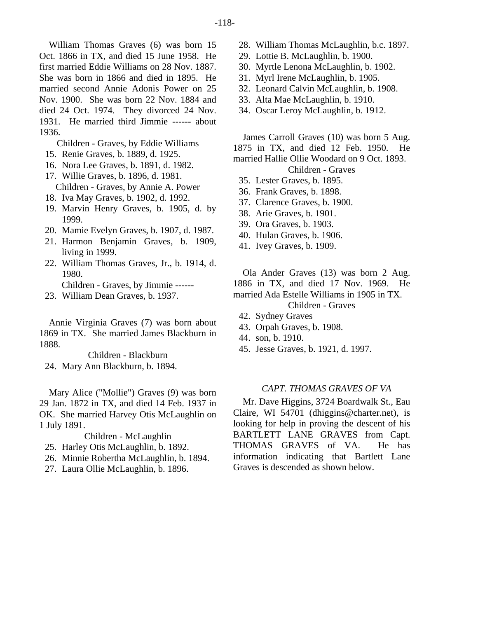William Thomas Graves (6) was born 15 Oct. 1866 in TX, and died 15 June 1958. He first married Eddie Williams on 28 Nov. 1887. She was born in 1866 and died in 1895. He married second Annie Adonis Power on 25 Nov. 1900. She was born 22 Nov. 1884 and died 24 Oct. 1974. They divorced 24 Nov. 1931. He married third Jimmie ------ about 1936.

Children - Graves, by Eddie Williams

- 15. Renie Graves, b. 1889, d. 1925.
- 16. Nora Lee Graves, b. 1891, d. 1982.
- 17. Willie Graves, b. 1896, d. 1981. Children - Graves, by Annie A. Power
- 18. Iva May Graves, b. 1902, d. 1992.
- 19. Marvin Henry Graves, b. 1905, d. by 1999.
- 20. Mamie Evelyn Graves, b. 1907, d. 1987.
- 21. Harmon Benjamin Graves, b. 1909, living in 1999.
- 22. William Thomas Graves, Jr., b. 1914, d. 1980.
	- Children Graves, by Jimmie ------
- 23. William Dean Graves, b. 1937.

Annie Virginia Graves (7) was born about 1869 in TX. She married James Blackburn in 1888.

Children - Blackburn

24. Mary Ann Blackburn, b. 1894.

Mary Alice ("Mollie") Graves (9) was born 29 Jan. 1872 in TX, and died 14 Feb. 1937 in OK. She married Harvey Otis McLaughlin on 1 July 1891.

Children - McLaughlin

- 25. Harley Otis McLaughlin, b. 1892.
- 26. Minnie Robertha McLaughlin, b. 1894.
- 27. Laura Ollie McLaughlin, b. 1896.
- 28. William Thomas McLaughlin, b.c. 1897.
- 29. Lottie B. McLaughlin, b. 1900.
- 30. Myrtle Lenona McLaughlin, b. 1902.
- 31. Myrl Irene McLaughlin, b. 1905.
- 32. Leonard Calvin McLaughlin, b. 1908.
- 33. Alta Mae McLaughlin, b. 1910.
- 34. Oscar Leroy McLaughlin, b. 1912.

James Carroll Graves (10) was born 5 Aug. 1875 in TX, and died 12 Feb. 1950. He married Hallie Ollie Woodard on 9 Oct. 1893. Children - Graves

- 35. Lester Graves, b. 1895.
- 36. Frank Graves, b. 1898.
- 37. Clarence Graves, b. 1900.
- 38. Arie Graves, b. 1901.
- 39. Ora Graves, b. 1903.
- 40. Hulan Graves, b. 1906.
- 41. Ivey Graves, b. 1909.

Ola Ander Graves (13) was born 2 Aug. 1886 in TX, and died 17 Nov. 1969. He married Ada Estelle Williams in 1905 in TX. Children - Graves

- 42. Sydney Graves
- 43. Orpah Graves, b. 1908.
- 44. son, b. 1910.
- 45. Jesse Graves, b. 1921, d. 1997.

# *CAPT. THOMAS GRAVES OF VA*

Mr. Dave Higgins, 3724 Boardwalk St., Eau Claire, WI 54701 (dhiggins@charter.net), is looking for help in proving the descent of his BARTLETT LANE GRAVES from Capt. THOMAS GRAVES of VA. He has information indicating that Bartlett Lane Graves is descended as shown below.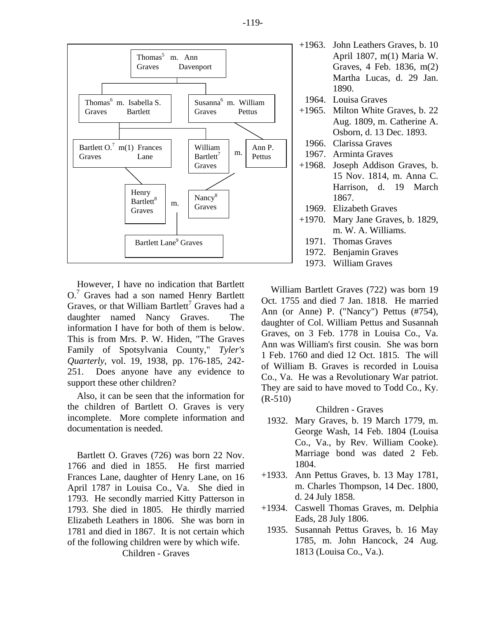

However, I have no indication that Bartlett O.<sup>7</sup> Graves had a son named Henry Bartlett Graves, or that William Bartlett<sup>7</sup> Graves had a daughter named Nancy Graves. The information I have for both of them is below. This is from Mrs. P. W. Hiden, "The Graves Family of Spotsylvania County," *Tyler's Quarterly*, vol. 19, 1938, pp. 176-185, 242- 251. Does anyone have any evidence to support these other children?

Also, it can be seen that the information for the children of Bartlett O. Graves is very incomplete. More complete information and documentation is needed.

Bartlett O. Graves (726) was born 22 Nov. 1766 and died in 1855. He first married Frances Lane, daughter of Henry Lane, on 16 April 1787 in Louisa Co., Va. She died in 1793. He secondly married Kitty Patterson in 1793. She died in 1805. He thirdly married Elizabeth Leathers in 1806. She was born in 1781 and died in 1867. It is not certain which of the following children were by which wife. Children - Graves

|       | April 1807, m(1) Maria W.            |
|-------|--------------------------------------|
|       | Graves, 4 Feb. 1836, m(2)            |
|       | Martha Lucas, d. 29 Jan.             |
|       | 1890.                                |
|       | 1964. Louisa Graves                  |
|       | +1965. Milton White Graves, b. 22    |
|       | Aug. 1809, m. Catherine A.           |
|       | Osborn, d. 13 Dec. 1893.             |
|       | 1966. Clarissa Graves                |
|       | 1967. Arminta Graves                 |
|       | +1968. Joseph Addison Graves, b.     |
|       | 15 Nov. 1814, m. Anna C.             |
|       | Harrison, d. 19 March                |
|       | 1867.                                |
|       | 1969. Elizabeth Graves               |
|       | $+1970$ . Mary Jane Graves, b. 1829, |
|       | m. W. A. Williams.                   |
|       | 1971. Thomas Graves                  |
|       | 1972. Benjamin Graves                |
| 1973. | <b>William Graves</b>                |

William Bartlett Graves (722) was born 19 Oct. 1755 and died 7 Jan. 1818. He married Ann (or Anne) P. ("Nancy") Pettus (#754), daughter of Col. William Pettus and Susannah Graves, on 3 Feb. 1778 in Louisa Co., Va. Ann was William's first cousin. She was born 1 Feb. 1760 and died 12 Oct. 1815. The will of William B. Graves is recorded in Louisa Co., Va. He was a Revolutionary War patriot. They are said to have moved to Todd Co., Ky. (R-510)

Children - Graves

- 1932. Mary Graves, b. 19 March 1779, m. George Wash, 14 Feb. 1804 (Louisa Co., Va., by Rev. William Cooke). Marriage bond was dated 2 Feb. 1804.
- +1933. Ann Pettus Graves, b. 13 May 1781, m. Charles Thompson, 14 Dec. 1800, d. 24 July 1858.
- +1934. Caswell Thomas Graves, m. Delphia Eads, 28 July 1806.
	- 1935. Susannah Pettus Graves, b. 16 May 1785, m. John Hancock, 24 Aug. 1813 (Louisa Co., Va.).